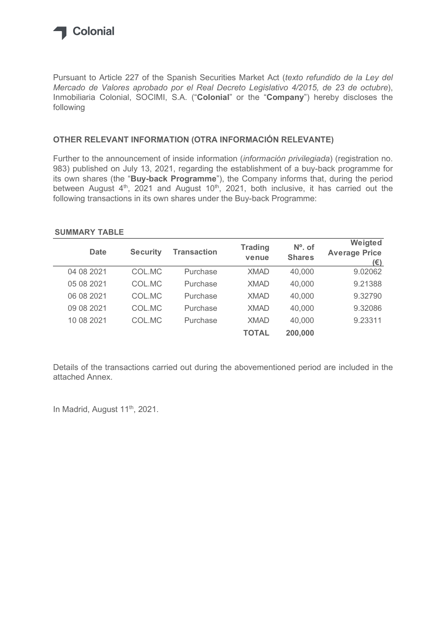

## OTHER RELEVANT INFORMATION (OTRA INFORMACIÓN RELEVANTE)

### SUMMARY TABLE

| Inmobiliaria Colonial, SOCIMI, S.A. ("Colonial" or the "Company") hereby discloses the<br>following                                                                                                                |                 |                    |                |               |                                                                                        |
|--------------------------------------------------------------------------------------------------------------------------------------------------------------------------------------------------------------------|-----------------|--------------------|----------------|---------------|----------------------------------------------------------------------------------------|
| OTHER RELEVANT INFORMATION (OTRA INFORMACIÓN RELEVANTE)                                                                                                                                                            |                 |                    |                |               |                                                                                        |
| Further to the announcement of inside information (información privilegiada) (registration no.<br>983) published on July 13, 2021, regarding the establishment of a buy-back programme for                         |                 |                    |                |               | its own shares (the "Buy-back Programme"), the Company informs that, during the period |
| between August 4 <sup>th</sup> , 2021 and August 10 <sup>th</sup> , 2021, both inclusive, it has carried out the<br>following transactions in its own shares under the Buy-back Programme:<br><b>SUMMARY TABLE</b> |                 |                    | <b>Trading</b> | Nº. of        | Weigted                                                                                |
| <b>Date</b>                                                                                                                                                                                                        | <b>Security</b> | <b>Transaction</b> | venue          | <b>Shares</b> | <b>Average Price</b><br>$(\epsilon)$                                                   |
| 04 08 2021                                                                                                                                                                                                         | COL.MC          | Purchase           | <b>XMAD</b>    | 40,000        | 9.02062                                                                                |
| 05 08 2021                                                                                                                                                                                                         | COL.MC          | Purchase           | <b>XMAD</b>    | 40,000        | 9.21388                                                                                |
| 06 08 2021                                                                                                                                                                                                         | COL.MC          | Purchase           | <b>XMAD</b>    | 40,000        | 9.32790                                                                                |
| 09 08 2021                                                                                                                                                                                                         | COL.MC          | Purchase           | <b>XMAD</b>    | 40,000        | 9.32086                                                                                |
| 10 08 2021                                                                                                                                                                                                         | COL.MC          | Purchase           | <b>XMAD</b>    | 40,000        | 9.23311                                                                                |

Details of the transactions carried out during the abovementioned period are included in the attached Annex.

In Madrid, August 11<sup>th</sup>, 2021.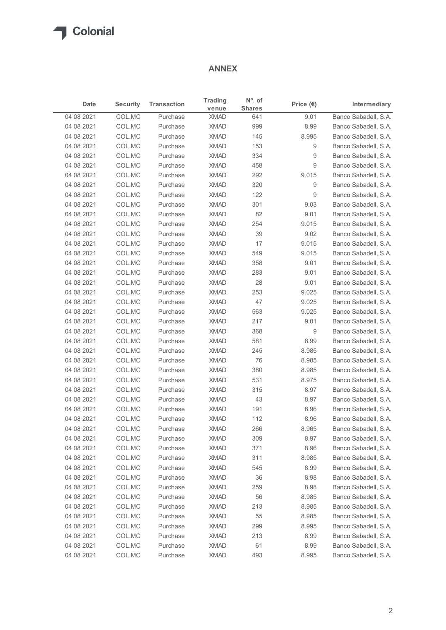## ANNEX

| $N^{\circ}$ . of<br><b>Trading</b><br><b>Security</b><br><b>Transaction</b><br>Intermediary<br>Date<br>Price $(\epsilon)$<br><b>Shares</b><br>venue<br>Banco Sabadell, S.A.<br>04 08 2021<br>COL.MC<br><b>XMAD</b><br>641<br>9.01<br>Purchase<br>COL.MC<br><b>XMAD</b><br>8.99<br>Banco Sabadell, S.A.<br>04 08 2021<br>Purchase<br>999<br>COL.MC<br><b>XMAD</b><br>8.995<br>Banco Sabadell, S.A.<br>04 08 2021<br>Purchase<br>145<br>COL.MC<br><b>XMAD</b><br>9<br>Banco Sabadell, S.A.<br>04 08 2021<br>Purchase<br>153<br>COL.MC<br><b>XMAD</b><br>334<br>Banco Sabadell, S.A.<br>04 08 2021<br>Purchase<br>9<br>04 08 2021<br>COL.MC<br><b>XMAD</b><br>9<br>Banco Sabadell, S.A.<br>Purchase<br>458<br>COL.MC<br><b>XMAD</b><br>9.015<br>Banco Sabadell, S.A.<br>04 08 2021<br>Purchase<br>292<br>04 08 2021<br>COL.MC<br><b>XMAD</b><br>320<br>Banco Sabadell, S.A.<br>Purchase<br>9<br>04 08 2021<br>COL.MC<br><b>XMAD</b><br>122<br>9<br>Banco Sabadell, S.A.<br>Purchase<br>04 08 2021<br>COL.MC<br>Purchase<br><b>XMAD</b><br>301<br>9.03<br>Banco Sabadell, S.A.<br>COL.MC<br><b>XMAD</b><br>82<br>04 08 2021<br>Purchase<br>9.01<br>Banco Sabadell, S.A.<br>04 08 2021<br>COL.MC<br><b>XMAD</b><br>254<br>9.015<br>Banco Sabadell, S.A.<br>Purchase<br>COL.MC<br><b>XMAD</b><br>9.02<br>Banco Sabadell, S.A.<br>04 08 2021<br>Purchase<br>39<br>04 08 2021<br>COL.MC<br>XMAD<br>17<br>9.015<br>Banco Sabadell, S.A.<br>Purchase<br>04 08 2021<br><b>XMAD</b><br>9.015<br>Banco Sabadell, S.A.<br>COL.MC<br>Purchase<br>549<br>358<br>9.01<br>Banco Sabadell, S.A.<br>04 08 2021<br>COL.MC<br>Purchase<br><b>XMAD</b><br>COL.MC<br><b>XMAD</b><br>283<br>9.01<br>Banco Sabadell, S.A.<br>04 08 2021<br>Purchase<br>COL.MC<br><b>XMAD</b><br>28<br>9.01<br>Banco Sabadell, S.A.<br>04 08 2021<br>Purchase<br>COL.MC<br>Purchase<br><b>XMAD</b><br>253<br>9.025<br>Banco Sabadell, S.A.<br>04 08 2021<br>COL.MC<br>47<br>9.025<br>Banco Sabadell, S.A.<br>04 08 2021<br>Purchase<br><b>XMAD</b><br>563<br>9.025<br>04 08 2021<br>COL.MC<br>Purchase<br><b>XMAD</b><br>Banco Sabadell, S.A.<br><b>XMAD</b><br>217<br>9.01<br>04 08 2021<br>COL.MC<br>Purchase<br>Banco Sabadell, S.A.<br>Banco Sabadell, S.A.<br>04 08 2021<br>COL.MC<br>Purchase<br><b>XMAD</b><br>368<br>9<br>COL.MC<br><b>XMAD</b><br>581<br>8.99<br>Banco Sabadell, S.A.<br>04 08 2021<br>Purchase<br>Banco Sabadell, S.A.<br>04 08 2021<br>COL.MC<br>Purchase<br><b>XMAD</b><br>245<br>8.985<br>04 08 2021<br>COL.MC<br>Purchase<br><b>XMAD</b><br>76<br>8.985<br>Banco Sabadell, S.A.<br>380<br>8.985<br>04 08 2021<br>COL.MC<br><b>XMAD</b><br>Banco Sabadell, S.A.<br>Purchase<br>COL.MC<br><b>XMAD</b><br>531<br>8.975<br>Banco Sabadell, S.A.<br>04 08 2021<br>Purchase<br>8.97<br>04 08 2021<br>COL.MC<br>Purchase<br><b>XMAD</b><br>315<br>Banco Sabadell, S.A.<br><b>XMAD</b><br>Banco Sabadell, S.A.<br>04 08 2021<br>COL.MC<br>Purchase<br>43<br>8.97<br>COL.MC<br><b>XMAD</b><br>191<br>Banco Sabadell, S.A.<br>04 08 2021<br>Purchase<br>8.96<br><b>XMAD</b><br>112<br>Banco Sabadell, S.A.<br>04 08 2021<br>COL.MC<br>Purchase<br>8.96<br>266<br>04 08 2021<br>COL.MC<br><b>XMAD</b><br>8.965<br>Banco Sabadell, S.A.<br>Purchase<br><b>XMAD</b><br>309<br>8.97<br>04 08 2021<br>COL.MC<br>Purchase<br>Banco Sabadell, S.A.<br>371<br>8.96<br>Banco Sabadell, S.A.<br>04 08 2021<br>COL.MC<br>Purchase<br><b>XMAD</b><br>Banco Sabadell, S.A.<br>04 08 2021<br>COL.MC<br>Purchase<br><b>XMAD</b><br>311<br>8.985<br>Banco Sabadell, S.A.<br>04 08 2021<br>COL.MC<br>Purchase<br><b>XMAD</b><br>545<br>8.99<br>04 08 2021<br>COL.MC<br>Purchase<br><b>XMAD</b><br>36<br>8.98<br>Banco Sabadell, S.A.<br>04 08 2021<br>COL.MC<br>Purchase<br><b>XMAD</b><br>259<br>8.98<br>Banco Sabadell, S.A.<br><b>XMAD</b><br>56<br>8.985<br>Banco Sabadell, S.A.<br>04 08 2021<br>COL.MC<br>Purchase<br>04 08 2021<br>COL.MC<br>Purchase<br><b>XMAD</b><br>213<br>8.985<br>Banco Sabadell, S.A.<br><b>XMAD</b><br>8.985<br>Banco Sabadell, S.A.<br>04 08 2021<br>COL.MC<br>Purchase<br>55 |            |        |          | <b>ANNEX</b> |     |       |                      |
|-----------------------------------------------------------------------------------------------------------------------------------------------------------------------------------------------------------------------------------------------------------------------------------------------------------------------------------------------------------------------------------------------------------------------------------------------------------------------------------------------------------------------------------------------------------------------------------------------------------------------------------------------------------------------------------------------------------------------------------------------------------------------------------------------------------------------------------------------------------------------------------------------------------------------------------------------------------------------------------------------------------------------------------------------------------------------------------------------------------------------------------------------------------------------------------------------------------------------------------------------------------------------------------------------------------------------------------------------------------------------------------------------------------------------------------------------------------------------------------------------------------------------------------------------------------------------------------------------------------------------------------------------------------------------------------------------------------------------------------------------------------------------------------------------------------------------------------------------------------------------------------------------------------------------------------------------------------------------------------------------------------------------------------------------------------------------------------------------------------------------------------------------------------------------------------------------------------------------------------------------------------------------------------------------------------------------------------------------------------------------------------------------------------------------------------------------------------------------------------------------------------------------------------------------------------------------------------------------------------------------------------------------------------------------------------------------------------------------------------------------------------------------------------------------------------------------------------------------------------------------------------------------------------------------------------------------------------------------------------------------------------------------------------------------------------------------------------------------------------------------------------------------------------------------------------------------------------------------------------------------------------------------------------------------------------------------------------------------------------------------------------------------------------------------------------------------------------------------------------------------------------------------------------------------------------------------------------------------------------------------------------------------------------------------------------------------------------------------------------------------------------------------------------------------------------------------------------------------------------------------------------------------------------------------------------------------------------------------------------------------------------------------------------------------------------------------|------------|--------|----------|--------------|-----|-------|----------------------|
|                                                                                                                                                                                                                                                                                                                                                                                                                                                                                                                                                                                                                                                                                                                                                                                                                                                                                                                                                                                                                                                                                                                                                                                                                                                                                                                                                                                                                                                                                                                                                                                                                                                                                                                                                                                                                                                                                                                                                                                                                                                                                                                                                                                                                                                                                                                                                                                                                                                                                                                                                                                                                                                                                                                                                                                                                                                                                                                                                                                                                                                                                                                                                                                                                                                                                                                                                                                                                                                                                                                                                                                                                                                                                                                                                                                                                                                                                                                                                                                                                                                                       |            |        |          |              |     |       |                      |
|                                                                                                                                                                                                                                                                                                                                                                                                                                                                                                                                                                                                                                                                                                                                                                                                                                                                                                                                                                                                                                                                                                                                                                                                                                                                                                                                                                                                                                                                                                                                                                                                                                                                                                                                                                                                                                                                                                                                                                                                                                                                                                                                                                                                                                                                                                                                                                                                                                                                                                                                                                                                                                                                                                                                                                                                                                                                                                                                                                                                                                                                                                                                                                                                                                                                                                                                                                                                                                                                                                                                                                                                                                                                                                                                                                                                                                                                                                                                                                                                                                                                       |            |        |          |              |     |       |                      |
|                                                                                                                                                                                                                                                                                                                                                                                                                                                                                                                                                                                                                                                                                                                                                                                                                                                                                                                                                                                                                                                                                                                                                                                                                                                                                                                                                                                                                                                                                                                                                                                                                                                                                                                                                                                                                                                                                                                                                                                                                                                                                                                                                                                                                                                                                                                                                                                                                                                                                                                                                                                                                                                                                                                                                                                                                                                                                                                                                                                                                                                                                                                                                                                                                                                                                                                                                                                                                                                                                                                                                                                                                                                                                                                                                                                                                                                                                                                                                                                                                                                                       |            |        |          |              |     |       |                      |
|                                                                                                                                                                                                                                                                                                                                                                                                                                                                                                                                                                                                                                                                                                                                                                                                                                                                                                                                                                                                                                                                                                                                                                                                                                                                                                                                                                                                                                                                                                                                                                                                                                                                                                                                                                                                                                                                                                                                                                                                                                                                                                                                                                                                                                                                                                                                                                                                                                                                                                                                                                                                                                                                                                                                                                                                                                                                                                                                                                                                                                                                                                                                                                                                                                                                                                                                                                                                                                                                                                                                                                                                                                                                                                                                                                                                                                                                                                                                                                                                                                                                       |            |        |          |              |     |       |                      |
|                                                                                                                                                                                                                                                                                                                                                                                                                                                                                                                                                                                                                                                                                                                                                                                                                                                                                                                                                                                                                                                                                                                                                                                                                                                                                                                                                                                                                                                                                                                                                                                                                                                                                                                                                                                                                                                                                                                                                                                                                                                                                                                                                                                                                                                                                                                                                                                                                                                                                                                                                                                                                                                                                                                                                                                                                                                                                                                                                                                                                                                                                                                                                                                                                                                                                                                                                                                                                                                                                                                                                                                                                                                                                                                                                                                                                                                                                                                                                                                                                                                                       |            |        |          |              |     |       |                      |
|                                                                                                                                                                                                                                                                                                                                                                                                                                                                                                                                                                                                                                                                                                                                                                                                                                                                                                                                                                                                                                                                                                                                                                                                                                                                                                                                                                                                                                                                                                                                                                                                                                                                                                                                                                                                                                                                                                                                                                                                                                                                                                                                                                                                                                                                                                                                                                                                                                                                                                                                                                                                                                                                                                                                                                                                                                                                                                                                                                                                                                                                                                                                                                                                                                                                                                                                                                                                                                                                                                                                                                                                                                                                                                                                                                                                                                                                                                                                                                                                                                                                       |            |        |          |              |     |       |                      |
|                                                                                                                                                                                                                                                                                                                                                                                                                                                                                                                                                                                                                                                                                                                                                                                                                                                                                                                                                                                                                                                                                                                                                                                                                                                                                                                                                                                                                                                                                                                                                                                                                                                                                                                                                                                                                                                                                                                                                                                                                                                                                                                                                                                                                                                                                                                                                                                                                                                                                                                                                                                                                                                                                                                                                                                                                                                                                                                                                                                                                                                                                                                                                                                                                                                                                                                                                                                                                                                                                                                                                                                                                                                                                                                                                                                                                                                                                                                                                                                                                                                                       |            |        |          |              |     |       |                      |
|                                                                                                                                                                                                                                                                                                                                                                                                                                                                                                                                                                                                                                                                                                                                                                                                                                                                                                                                                                                                                                                                                                                                                                                                                                                                                                                                                                                                                                                                                                                                                                                                                                                                                                                                                                                                                                                                                                                                                                                                                                                                                                                                                                                                                                                                                                                                                                                                                                                                                                                                                                                                                                                                                                                                                                                                                                                                                                                                                                                                                                                                                                                                                                                                                                                                                                                                                                                                                                                                                                                                                                                                                                                                                                                                                                                                                                                                                                                                                                                                                                                                       |            |        |          |              |     |       |                      |
|                                                                                                                                                                                                                                                                                                                                                                                                                                                                                                                                                                                                                                                                                                                                                                                                                                                                                                                                                                                                                                                                                                                                                                                                                                                                                                                                                                                                                                                                                                                                                                                                                                                                                                                                                                                                                                                                                                                                                                                                                                                                                                                                                                                                                                                                                                                                                                                                                                                                                                                                                                                                                                                                                                                                                                                                                                                                                                                                                                                                                                                                                                                                                                                                                                                                                                                                                                                                                                                                                                                                                                                                                                                                                                                                                                                                                                                                                                                                                                                                                                                                       |            |        |          |              |     |       |                      |
|                                                                                                                                                                                                                                                                                                                                                                                                                                                                                                                                                                                                                                                                                                                                                                                                                                                                                                                                                                                                                                                                                                                                                                                                                                                                                                                                                                                                                                                                                                                                                                                                                                                                                                                                                                                                                                                                                                                                                                                                                                                                                                                                                                                                                                                                                                                                                                                                                                                                                                                                                                                                                                                                                                                                                                                                                                                                                                                                                                                                                                                                                                                                                                                                                                                                                                                                                                                                                                                                                                                                                                                                                                                                                                                                                                                                                                                                                                                                                                                                                                                                       |            |        |          |              |     |       |                      |
|                                                                                                                                                                                                                                                                                                                                                                                                                                                                                                                                                                                                                                                                                                                                                                                                                                                                                                                                                                                                                                                                                                                                                                                                                                                                                                                                                                                                                                                                                                                                                                                                                                                                                                                                                                                                                                                                                                                                                                                                                                                                                                                                                                                                                                                                                                                                                                                                                                                                                                                                                                                                                                                                                                                                                                                                                                                                                                                                                                                                                                                                                                                                                                                                                                                                                                                                                                                                                                                                                                                                                                                                                                                                                                                                                                                                                                                                                                                                                                                                                                                                       |            |        |          |              |     |       |                      |
|                                                                                                                                                                                                                                                                                                                                                                                                                                                                                                                                                                                                                                                                                                                                                                                                                                                                                                                                                                                                                                                                                                                                                                                                                                                                                                                                                                                                                                                                                                                                                                                                                                                                                                                                                                                                                                                                                                                                                                                                                                                                                                                                                                                                                                                                                                                                                                                                                                                                                                                                                                                                                                                                                                                                                                                                                                                                                                                                                                                                                                                                                                                                                                                                                                                                                                                                                                                                                                                                                                                                                                                                                                                                                                                                                                                                                                                                                                                                                                                                                                                                       |            |        |          |              |     |       |                      |
|                                                                                                                                                                                                                                                                                                                                                                                                                                                                                                                                                                                                                                                                                                                                                                                                                                                                                                                                                                                                                                                                                                                                                                                                                                                                                                                                                                                                                                                                                                                                                                                                                                                                                                                                                                                                                                                                                                                                                                                                                                                                                                                                                                                                                                                                                                                                                                                                                                                                                                                                                                                                                                                                                                                                                                                                                                                                                                                                                                                                                                                                                                                                                                                                                                                                                                                                                                                                                                                                                                                                                                                                                                                                                                                                                                                                                                                                                                                                                                                                                                                                       |            |        |          |              |     |       |                      |
|                                                                                                                                                                                                                                                                                                                                                                                                                                                                                                                                                                                                                                                                                                                                                                                                                                                                                                                                                                                                                                                                                                                                                                                                                                                                                                                                                                                                                                                                                                                                                                                                                                                                                                                                                                                                                                                                                                                                                                                                                                                                                                                                                                                                                                                                                                                                                                                                                                                                                                                                                                                                                                                                                                                                                                                                                                                                                                                                                                                                                                                                                                                                                                                                                                                                                                                                                                                                                                                                                                                                                                                                                                                                                                                                                                                                                                                                                                                                                                                                                                                                       |            |        |          |              |     |       |                      |
|                                                                                                                                                                                                                                                                                                                                                                                                                                                                                                                                                                                                                                                                                                                                                                                                                                                                                                                                                                                                                                                                                                                                                                                                                                                                                                                                                                                                                                                                                                                                                                                                                                                                                                                                                                                                                                                                                                                                                                                                                                                                                                                                                                                                                                                                                                                                                                                                                                                                                                                                                                                                                                                                                                                                                                                                                                                                                                                                                                                                                                                                                                                                                                                                                                                                                                                                                                                                                                                                                                                                                                                                                                                                                                                                                                                                                                                                                                                                                                                                                                                                       |            |        |          |              |     |       |                      |
|                                                                                                                                                                                                                                                                                                                                                                                                                                                                                                                                                                                                                                                                                                                                                                                                                                                                                                                                                                                                                                                                                                                                                                                                                                                                                                                                                                                                                                                                                                                                                                                                                                                                                                                                                                                                                                                                                                                                                                                                                                                                                                                                                                                                                                                                                                                                                                                                                                                                                                                                                                                                                                                                                                                                                                                                                                                                                                                                                                                                                                                                                                                                                                                                                                                                                                                                                                                                                                                                                                                                                                                                                                                                                                                                                                                                                                                                                                                                                                                                                                                                       |            |        |          |              |     |       |                      |
|                                                                                                                                                                                                                                                                                                                                                                                                                                                                                                                                                                                                                                                                                                                                                                                                                                                                                                                                                                                                                                                                                                                                                                                                                                                                                                                                                                                                                                                                                                                                                                                                                                                                                                                                                                                                                                                                                                                                                                                                                                                                                                                                                                                                                                                                                                                                                                                                                                                                                                                                                                                                                                                                                                                                                                                                                                                                                                                                                                                                                                                                                                                                                                                                                                                                                                                                                                                                                                                                                                                                                                                                                                                                                                                                                                                                                                                                                                                                                                                                                                                                       |            |        |          |              |     |       |                      |
|                                                                                                                                                                                                                                                                                                                                                                                                                                                                                                                                                                                                                                                                                                                                                                                                                                                                                                                                                                                                                                                                                                                                                                                                                                                                                                                                                                                                                                                                                                                                                                                                                                                                                                                                                                                                                                                                                                                                                                                                                                                                                                                                                                                                                                                                                                                                                                                                                                                                                                                                                                                                                                                                                                                                                                                                                                                                                                                                                                                                                                                                                                                                                                                                                                                                                                                                                                                                                                                                                                                                                                                                                                                                                                                                                                                                                                                                                                                                                                                                                                                                       |            |        |          |              |     |       |                      |
|                                                                                                                                                                                                                                                                                                                                                                                                                                                                                                                                                                                                                                                                                                                                                                                                                                                                                                                                                                                                                                                                                                                                                                                                                                                                                                                                                                                                                                                                                                                                                                                                                                                                                                                                                                                                                                                                                                                                                                                                                                                                                                                                                                                                                                                                                                                                                                                                                                                                                                                                                                                                                                                                                                                                                                                                                                                                                                                                                                                                                                                                                                                                                                                                                                                                                                                                                                                                                                                                                                                                                                                                                                                                                                                                                                                                                                                                                                                                                                                                                                                                       |            |        |          |              |     |       |                      |
|                                                                                                                                                                                                                                                                                                                                                                                                                                                                                                                                                                                                                                                                                                                                                                                                                                                                                                                                                                                                                                                                                                                                                                                                                                                                                                                                                                                                                                                                                                                                                                                                                                                                                                                                                                                                                                                                                                                                                                                                                                                                                                                                                                                                                                                                                                                                                                                                                                                                                                                                                                                                                                                                                                                                                                                                                                                                                                                                                                                                                                                                                                                                                                                                                                                                                                                                                                                                                                                                                                                                                                                                                                                                                                                                                                                                                                                                                                                                                                                                                                                                       |            |        |          |              |     |       |                      |
|                                                                                                                                                                                                                                                                                                                                                                                                                                                                                                                                                                                                                                                                                                                                                                                                                                                                                                                                                                                                                                                                                                                                                                                                                                                                                                                                                                                                                                                                                                                                                                                                                                                                                                                                                                                                                                                                                                                                                                                                                                                                                                                                                                                                                                                                                                                                                                                                                                                                                                                                                                                                                                                                                                                                                                                                                                                                                                                                                                                                                                                                                                                                                                                                                                                                                                                                                                                                                                                                                                                                                                                                                                                                                                                                                                                                                                                                                                                                                                                                                                                                       |            |        |          |              |     |       |                      |
|                                                                                                                                                                                                                                                                                                                                                                                                                                                                                                                                                                                                                                                                                                                                                                                                                                                                                                                                                                                                                                                                                                                                                                                                                                                                                                                                                                                                                                                                                                                                                                                                                                                                                                                                                                                                                                                                                                                                                                                                                                                                                                                                                                                                                                                                                                                                                                                                                                                                                                                                                                                                                                                                                                                                                                                                                                                                                                                                                                                                                                                                                                                                                                                                                                                                                                                                                                                                                                                                                                                                                                                                                                                                                                                                                                                                                                                                                                                                                                                                                                                                       |            |        |          |              |     |       |                      |
|                                                                                                                                                                                                                                                                                                                                                                                                                                                                                                                                                                                                                                                                                                                                                                                                                                                                                                                                                                                                                                                                                                                                                                                                                                                                                                                                                                                                                                                                                                                                                                                                                                                                                                                                                                                                                                                                                                                                                                                                                                                                                                                                                                                                                                                                                                                                                                                                                                                                                                                                                                                                                                                                                                                                                                                                                                                                                                                                                                                                                                                                                                                                                                                                                                                                                                                                                                                                                                                                                                                                                                                                                                                                                                                                                                                                                                                                                                                                                                                                                                                                       |            |        |          |              |     |       |                      |
|                                                                                                                                                                                                                                                                                                                                                                                                                                                                                                                                                                                                                                                                                                                                                                                                                                                                                                                                                                                                                                                                                                                                                                                                                                                                                                                                                                                                                                                                                                                                                                                                                                                                                                                                                                                                                                                                                                                                                                                                                                                                                                                                                                                                                                                                                                                                                                                                                                                                                                                                                                                                                                                                                                                                                                                                                                                                                                                                                                                                                                                                                                                                                                                                                                                                                                                                                                                                                                                                                                                                                                                                                                                                                                                                                                                                                                                                                                                                                                                                                                                                       |            |        |          |              |     |       |                      |
|                                                                                                                                                                                                                                                                                                                                                                                                                                                                                                                                                                                                                                                                                                                                                                                                                                                                                                                                                                                                                                                                                                                                                                                                                                                                                                                                                                                                                                                                                                                                                                                                                                                                                                                                                                                                                                                                                                                                                                                                                                                                                                                                                                                                                                                                                                                                                                                                                                                                                                                                                                                                                                                                                                                                                                                                                                                                                                                                                                                                                                                                                                                                                                                                                                                                                                                                                                                                                                                                                                                                                                                                                                                                                                                                                                                                                                                                                                                                                                                                                                                                       |            |        |          |              |     |       |                      |
|                                                                                                                                                                                                                                                                                                                                                                                                                                                                                                                                                                                                                                                                                                                                                                                                                                                                                                                                                                                                                                                                                                                                                                                                                                                                                                                                                                                                                                                                                                                                                                                                                                                                                                                                                                                                                                                                                                                                                                                                                                                                                                                                                                                                                                                                                                                                                                                                                                                                                                                                                                                                                                                                                                                                                                                                                                                                                                                                                                                                                                                                                                                                                                                                                                                                                                                                                                                                                                                                                                                                                                                                                                                                                                                                                                                                                                                                                                                                                                                                                                                                       |            |        |          |              |     |       |                      |
|                                                                                                                                                                                                                                                                                                                                                                                                                                                                                                                                                                                                                                                                                                                                                                                                                                                                                                                                                                                                                                                                                                                                                                                                                                                                                                                                                                                                                                                                                                                                                                                                                                                                                                                                                                                                                                                                                                                                                                                                                                                                                                                                                                                                                                                                                                                                                                                                                                                                                                                                                                                                                                                                                                                                                                                                                                                                                                                                                                                                                                                                                                                                                                                                                                                                                                                                                                                                                                                                                                                                                                                                                                                                                                                                                                                                                                                                                                                                                                                                                                                                       |            |        |          |              |     |       |                      |
|                                                                                                                                                                                                                                                                                                                                                                                                                                                                                                                                                                                                                                                                                                                                                                                                                                                                                                                                                                                                                                                                                                                                                                                                                                                                                                                                                                                                                                                                                                                                                                                                                                                                                                                                                                                                                                                                                                                                                                                                                                                                                                                                                                                                                                                                                                                                                                                                                                                                                                                                                                                                                                                                                                                                                                                                                                                                                                                                                                                                                                                                                                                                                                                                                                                                                                                                                                                                                                                                                                                                                                                                                                                                                                                                                                                                                                                                                                                                                                                                                                                                       |            |        |          |              |     |       |                      |
|                                                                                                                                                                                                                                                                                                                                                                                                                                                                                                                                                                                                                                                                                                                                                                                                                                                                                                                                                                                                                                                                                                                                                                                                                                                                                                                                                                                                                                                                                                                                                                                                                                                                                                                                                                                                                                                                                                                                                                                                                                                                                                                                                                                                                                                                                                                                                                                                                                                                                                                                                                                                                                                                                                                                                                                                                                                                                                                                                                                                                                                                                                                                                                                                                                                                                                                                                                                                                                                                                                                                                                                                                                                                                                                                                                                                                                                                                                                                                                                                                                                                       |            |        |          |              |     |       |                      |
|                                                                                                                                                                                                                                                                                                                                                                                                                                                                                                                                                                                                                                                                                                                                                                                                                                                                                                                                                                                                                                                                                                                                                                                                                                                                                                                                                                                                                                                                                                                                                                                                                                                                                                                                                                                                                                                                                                                                                                                                                                                                                                                                                                                                                                                                                                                                                                                                                                                                                                                                                                                                                                                                                                                                                                                                                                                                                                                                                                                                                                                                                                                                                                                                                                                                                                                                                                                                                                                                                                                                                                                                                                                                                                                                                                                                                                                                                                                                                                                                                                                                       |            |        |          |              |     |       |                      |
|                                                                                                                                                                                                                                                                                                                                                                                                                                                                                                                                                                                                                                                                                                                                                                                                                                                                                                                                                                                                                                                                                                                                                                                                                                                                                                                                                                                                                                                                                                                                                                                                                                                                                                                                                                                                                                                                                                                                                                                                                                                                                                                                                                                                                                                                                                                                                                                                                                                                                                                                                                                                                                                                                                                                                                                                                                                                                                                                                                                                                                                                                                                                                                                                                                                                                                                                                                                                                                                                                                                                                                                                                                                                                                                                                                                                                                                                                                                                                                                                                                                                       |            |        |          |              |     |       |                      |
|                                                                                                                                                                                                                                                                                                                                                                                                                                                                                                                                                                                                                                                                                                                                                                                                                                                                                                                                                                                                                                                                                                                                                                                                                                                                                                                                                                                                                                                                                                                                                                                                                                                                                                                                                                                                                                                                                                                                                                                                                                                                                                                                                                                                                                                                                                                                                                                                                                                                                                                                                                                                                                                                                                                                                                                                                                                                                                                                                                                                                                                                                                                                                                                                                                                                                                                                                                                                                                                                                                                                                                                                                                                                                                                                                                                                                                                                                                                                                                                                                                                                       |            |        |          |              |     |       |                      |
|                                                                                                                                                                                                                                                                                                                                                                                                                                                                                                                                                                                                                                                                                                                                                                                                                                                                                                                                                                                                                                                                                                                                                                                                                                                                                                                                                                                                                                                                                                                                                                                                                                                                                                                                                                                                                                                                                                                                                                                                                                                                                                                                                                                                                                                                                                                                                                                                                                                                                                                                                                                                                                                                                                                                                                                                                                                                                                                                                                                                                                                                                                                                                                                                                                                                                                                                                                                                                                                                                                                                                                                                                                                                                                                                                                                                                                                                                                                                                                                                                                                                       |            |        |          |              |     |       |                      |
|                                                                                                                                                                                                                                                                                                                                                                                                                                                                                                                                                                                                                                                                                                                                                                                                                                                                                                                                                                                                                                                                                                                                                                                                                                                                                                                                                                                                                                                                                                                                                                                                                                                                                                                                                                                                                                                                                                                                                                                                                                                                                                                                                                                                                                                                                                                                                                                                                                                                                                                                                                                                                                                                                                                                                                                                                                                                                                                                                                                                                                                                                                                                                                                                                                                                                                                                                                                                                                                                                                                                                                                                                                                                                                                                                                                                                                                                                                                                                                                                                                                                       |            |        |          |              |     |       |                      |
|                                                                                                                                                                                                                                                                                                                                                                                                                                                                                                                                                                                                                                                                                                                                                                                                                                                                                                                                                                                                                                                                                                                                                                                                                                                                                                                                                                                                                                                                                                                                                                                                                                                                                                                                                                                                                                                                                                                                                                                                                                                                                                                                                                                                                                                                                                                                                                                                                                                                                                                                                                                                                                                                                                                                                                                                                                                                                                                                                                                                                                                                                                                                                                                                                                                                                                                                                                                                                                                                                                                                                                                                                                                                                                                                                                                                                                                                                                                                                                                                                                                                       |            |        |          |              |     |       |                      |
|                                                                                                                                                                                                                                                                                                                                                                                                                                                                                                                                                                                                                                                                                                                                                                                                                                                                                                                                                                                                                                                                                                                                                                                                                                                                                                                                                                                                                                                                                                                                                                                                                                                                                                                                                                                                                                                                                                                                                                                                                                                                                                                                                                                                                                                                                                                                                                                                                                                                                                                                                                                                                                                                                                                                                                                                                                                                                                                                                                                                                                                                                                                                                                                                                                                                                                                                                                                                                                                                                                                                                                                                                                                                                                                                                                                                                                                                                                                                                                                                                                                                       |            |        |          |              |     |       |                      |
|                                                                                                                                                                                                                                                                                                                                                                                                                                                                                                                                                                                                                                                                                                                                                                                                                                                                                                                                                                                                                                                                                                                                                                                                                                                                                                                                                                                                                                                                                                                                                                                                                                                                                                                                                                                                                                                                                                                                                                                                                                                                                                                                                                                                                                                                                                                                                                                                                                                                                                                                                                                                                                                                                                                                                                                                                                                                                                                                                                                                                                                                                                                                                                                                                                                                                                                                                                                                                                                                                                                                                                                                                                                                                                                                                                                                                                                                                                                                                                                                                                                                       |            |        |          |              |     |       |                      |
|                                                                                                                                                                                                                                                                                                                                                                                                                                                                                                                                                                                                                                                                                                                                                                                                                                                                                                                                                                                                                                                                                                                                                                                                                                                                                                                                                                                                                                                                                                                                                                                                                                                                                                                                                                                                                                                                                                                                                                                                                                                                                                                                                                                                                                                                                                                                                                                                                                                                                                                                                                                                                                                                                                                                                                                                                                                                                                                                                                                                                                                                                                                                                                                                                                                                                                                                                                                                                                                                                                                                                                                                                                                                                                                                                                                                                                                                                                                                                                                                                                                                       |            |        |          |              |     |       |                      |
|                                                                                                                                                                                                                                                                                                                                                                                                                                                                                                                                                                                                                                                                                                                                                                                                                                                                                                                                                                                                                                                                                                                                                                                                                                                                                                                                                                                                                                                                                                                                                                                                                                                                                                                                                                                                                                                                                                                                                                                                                                                                                                                                                                                                                                                                                                                                                                                                                                                                                                                                                                                                                                                                                                                                                                                                                                                                                                                                                                                                                                                                                                                                                                                                                                                                                                                                                                                                                                                                                                                                                                                                                                                                                                                                                                                                                                                                                                                                                                                                                                                                       |            |        |          |              |     |       |                      |
|                                                                                                                                                                                                                                                                                                                                                                                                                                                                                                                                                                                                                                                                                                                                                                                                                                                                                                                                                                                                                                                                                                                                                                                                                                                                                                                                                                                                                                                                                                                                                                                                                                                                                                                                                                                                                                                                                                                                                                                                                                                                                                                                                                                                                                                                                                                                                                                                                                                                                                                                                                                                                                                                                                                                                                                                                                                                                                                                                                                                                                                                                                                                                                                                                                                                                                                                                                                                                                                                                                                                                                                                                                                                                                                                                                                                                                                                                                                                                                                                                                                                       |            |        |          |              |     |       |                      |
|                                                                                                                                                                                                                                                                                                                                                                                                                                                                                                                                                                                                                                                                                                                                                                                                                                                                                                                                                                                                                                                                                                                                                                                                                                                                                                                                                                                                                                                                                                                                                                                                                                                                                                                                                                                                                                                                                                                                                                                                                                                                                                                                                                                                                                                                                                                                                                                                                                                                                                                                                                                                                                                                                                                                                                                                                                                                                                                                                                                                                                                                                                                                                                                                                                                                                                                                                                                                                                                                                                                                                                                                                                                                                                                                                                                                                                                                                                                                                                                                                                                                       |            |        |          |              |     |       |                      |
|                                                                                                                                                                                                                                                                                                                                                                                                                                                                                                                                                                                                                                                                                                                                                                                                                                                                                                                                                                                                                                                                                                                                                                                                                                                                                                                                                                                                                                                                                                                                                                                                                                                                                                                                                                                                                                                                                                                                                                                                                                                                                                                                                                                                                                                                                                                                                                                                                                                                                                                                                                                                                                                                                                                                                                                                                                                                                                                                                                                                                                                                                                                                                                                                                                                                                                                                                                                                                                                                                                                                                                                                                                                                                                                                                                                                                                                                                                                                                                                                                                                                       |            |        |          |              |     |       |                      |
|                                                                                                                                                                                                                                                                                                                                                                                                                                                                                                                                                                                                                                                                                                                                                                                                                                                                                                                                                                                                                                                                                                                                                                                                                                                                                                                                                                                                                                                                                                                                                                                                                                                                                                                                                                                                                                                                                                                                                                                                                                                                                                                                                                                                                                                                                                                                                                                                                                                                                                                                                                                                                                                                                                                                                                                                                                                                                                                                                                                                                                                                                                                                                                                                                                                                                                                                                                                                                                                                                                                                                                                                                                                                                                                                                                                                                                                                                                                                                                                                                                                                       | 04 08 2021 | COL.MC | Purchase | <b>XMAD</b>  | 299 | 8.995 | Banco Sabadell, S.A. |
| <b>XMAD</b><br>213<br>8.99<br>Banco Sabadell, S.A.<br>04 08 2021<br>COL.MC<br>Purchase                                                                                                                                                                                                                                                                                                                                                                                                                                                                                                                                                                                                                                                                                                                                                                                                                                                                                                                                                                                                                                                                                                                                                                                                                                                                                                                                                                                                                                                                                                                                                                                                                                                                                                                                                                                                                                                                                                                                                                                                                                                                                                                                                                                                                                                                                                                                                                                                                                                                                                                                                                                                                                                                                                                                                                                                                                                                                                                                                                                                                                                                                                                                                                                                                                                                                                                                                                                                                                                                                                                                                                                                                                                                                                                                                                                                                                                                                                                                                                                |            |        |          |              |     |       |                      |
| 04 08 2021<br>COL.MC<br>Purchase<br><b>XMAD</b><br>61<br>8.99<br>Banco Sabadell, S.A.                                                                                                                                                                                                                                                                                                                                                                                                                                                                                                                                                                                                                                                                                                                                                                                                                                                                                                                                                                                                                                                                                                                                                                                                                                                                                                                                                                                                                                                                                                                                                                                                                                                                                                                                                                                                                                                                                                                                                                                                                                                                                                                                                                                                                                                                                                                                                                                                                                                                                                                                                                                                                                                                                                                                                                                                                                                                                                                                                                                                                                                                                                                                                                                                                                                                                                                                                                                                                                                                                                                                                                                                                                                                                                                                                                                                                                                                                                                                                                                 |            |        |          |              |     |       |                      |
| 493<br>8.995<br>04 08 2021<br>COL.MC<br>Purchase<br><b>XMAD</b><br>Banco Sabadell, S.A.                                                                                                                                                                                                                                                                                                                                                                                                                                                                                                                                                                                                                                                                                                                                                                                                                                                                                                                                                                                                                                                                                                                                                                                                                                                                                                                                                                                                                                                                                                                                                                                                                                                                                                                                                                                                                                                                                                                                                                                                                                                                                                                                                                                                                                                                                                                                                                                                                                                                                                                                                                                                                                                                                                                                                                                                                                                                                                                                                                                                                                                                                                                                                                                                                                                                                                                                                                                                                                                                                                                                                                                                                                                                                                                                                                                                                                                                                                                                                                               |            |        |          |              |     |       |                      |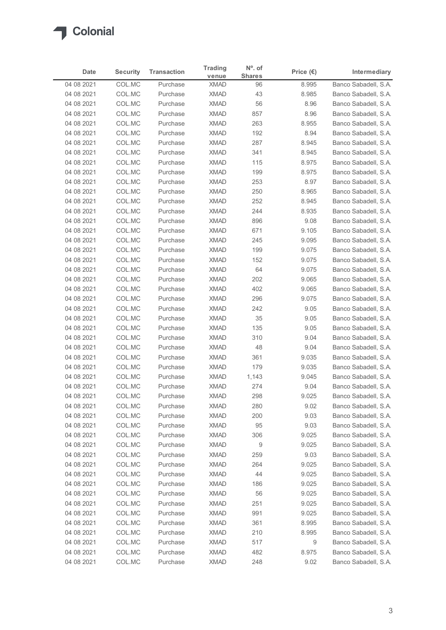

| <b>Shares</b><br>venue<br>COL.MC<br>Banco Sabadell, S.A.<br>04 08 2021<br><b>XMAD</b><br>Purchase<br>96<br>8.995<br>COL.MC<br><b>XMAD</b><br>43<br>8.985<br>Banco Sabadell, S.A.<br>04 08 2021<br>Purchase<br>COL.MC<br><b>XMAD</b><br>56<br>Banco Sabadell, S.A.<br>04 08 2021<br>Purchase<br>8.96<br><b>XMAD</b><br>04 08 2021<br>COL.MC<br>Purchase<br>857<br>8.96<br>Banco Sabadell, S.A.<br>COL.MC<br><b>XMAD</b><br>263<br>8.955<br>04 08 2021<br>Purchase<br>Banco Sabadell, S.A.<br>COL.MC<br><b>XMAD</b><br>8.94<br>Banco Sabadell, S.A.<br>04 08 2021<br>Purchase<br>192<br>04 08 2021<br>COL.MC<br><b>XMAD</b><br>287<br>Banco Sabadell, S.A.<br>Purchase<br>8.945<br>04 08 2021<br>COL.MC<br>Purchase<br><b>XMAD</b><br>341<br>8.945<br>Banco Sabadell, S.A.<br>COL.MC<br>Banco Sabadell, S.A.<br>04 08 2021<br><b>XMAD</b><br>115<br>8.975<br>Purchase<br><b>XMAD</b><br>199<br>8.975<br>Banco Sabadell, S.A.<br>04 08 2021<br>COL.MC<br>Purchase<br>COL.MC<br><b>XMAD</b><br>253<br>Banco Sabadell, S.A.<br>04 08 2021<br>Purchase<br>8.97<br>COL.MC<br><b>XMAD</b><br>250<br>8.965<br>Banco Sabadell, S.A.<br>04 08 2021<br>Purchase<br><b>XMAD</b><br>252<br>8.945<br>04 08 2021<br>COL.MC<br>Purchase<br>Banco Sabadell, S.A.<br>244<br>8.935<br>04 08 2021<br>COL.MC<br>XMAD<br>Banco Sabadell, S.A.<br>Purchase<br>04 08 2021<br><b>XMAD</b><br>9.08<br>Banco Sabadell, S.A.<br>COL.MC<br>Purchase<br>896<br><b>XMAD</b><br>9.105<br>04 08 2021<br>COL.MC<br>Purchase<br>671<br>COL.MC<br>XMAD<br>9.095<br>04 08 2021<br>Purchase<br>245<br>COL.MC<br><b>XMAD</b><br>9.075<br>04 08 2021<br>Purchase<br>199<br>COL.MC<br><b>XMAD</b><br>9.075<br>04 08 2021<br>Purchase<br>152<br>64<br>9.075<br>04 08 2021<br>COL.MC<br>Purchase<br><b>XMAD</b><br>9.065<br>04 08 2021<br>COL.MC<br>Purchase<br><b>XMAD</b><br>202<br>COL.MC<br><b>XMAD</b><br>402<br>9.065<br>Banco Sabadell, S.A.<br>04 08 2021<br>Purchase<br>9.075<br>04 08 2021<br>COL.MC<br>Purchase<br><b>XMAD</b><br>296<br>COL.MC<br><b>XMAD</b><br>04 08 2021<br>Purchase<br>242<br>9.05<br>COL.MC<br>XMAD<br>35<br>9.05<br>04 08 2021<br>Purchase<br>COL.MC<br>04 08 2021<br>Purchase<br><b>XMAD</b><br>135<br>9.05<br><b>XMAD</b><br>310<br>04 08 2021<br>COL.MC<br>9.04<br>Purchase<br>XMAD<br>48<br>9.04<br>04 08 2021<br>COL.MC<br>Purchase<br>COL.MC<br><b>XMAD</b><br>9.035<br>04 08 2021<br>Purchase<br>361<br>COL.MC<br><b>XMAD</b><br>9.035<br>04 08 2021<br>Purchase<br>179<br>04 08 2021<br>COL.MC<br>Purchase<br><b>XMAD</b><br>1,143<br>9.045<br>274<br>9.04<br>04 08 2021<br>COL.MC<br>Purchase<br><b>XMAD</b><br><b>XMAD</b><br>298<br>9.025<br>04 08 2021<br>COL.MC<br>Purchase<br>COL.MC<br><b>XMAD</b><br>280<br>9.02<br>04 08 2021<br>Purchase<br>Banco Sabadell, S.A.<br>COL.MC<br><b>XMAD</b><br>04 08 2021<br>Purchase<br>200<br>9.03<br>04 08 2021<br>COL.MC<br>Purchase<br><b>XMAD</b><br>95<br>9.03<br>COL.MC<br><b>XMAD</b><br>306<br>9.025<br>04 08 2021<br>Purchase<br>COL.MC<br>$\overline{9}$<br>9.025<br>04 08 2021<br><b>XMAD</b><br>Purchase<br>04 08 2021<br>COL.MC<br>Purchase<br><b>XMAD</b><br>259<br>9.03<br>COL.MC<br><b>XMAD</b><br>264<br>9.025<br>04 08 2021<br>Purchase<br>COL.MC<br><b>XMAD</b><br>44<br>9.025<br>04 08 2021<br>Purchase<br><b>XMAD</b><br>9.025<br>04 08 2021<br>COL.MC<br>Purchase<br>186<br>56<br>9.025<br>04 08 2021<br>COL.MC<br>Purchase<br><b>XMAD</b><br>COL.MC<br>9.025<br>04 08 2021<br>Purchase<br><b>XMAD</b><br>251<br><b>XMAD</b><br>991<br>9.025<br>04 08 2021<br>COL.MC<br>Purchase<br>XMAD<br>8.995<br>04 08 2021<br>COL.MC<br>Purchase<br>361<br>COL.MC<br><b>XMAD</b><br>04 08 2021<br>Purchase<br>210<br>8.995<br>COL.MC<br><b>XMAD</b><br>517<br>9<br>Banco Sabadell, S.A.<br>04 08 2021<br>Purchase<br>COL.MC<br>Banco Sabadell, S.A.<br>04 08 2021<br>Purchase<br><b>XMAD</b><br>482<br>8.975<br>04 08 2021<br>COL.MC<br><b>XMAD</b><br>248<br>9.02<br>Banco Sabadell, S.A.<br>Purchase | Date | <b>Security</b> | <b>Transaction</b> | <b>Trading</b> | $No$ . of | Price $(\epsilon)$ | Intermediary |
|-----------------------------------------------------------------------------------------------------------------------------------------------------------------------------------------------------------------------------------------------------------------------------------------------------------------------------------------------------------------------------------------------------------------------------------------------------------------------------------------------------------------------------------------------------------------------------------------------------------------------------------------------------------------------------------------------------------------------------------------------------------------------------------------------------------------------------------------------------------------------------------------------------------------------------------------------------------------------------------------------------------------------------------------------------------------------------------------------------------------------------------------------------------------------------------------------------------------------------------------------------------------------------------------------------------------------------------------------------------------------------------------------------------------------------------------------------------------------------------------------------------------------------------------------------------------------------------------------------------------------------------------------------------------------------------------------------------------------------------------------------------------------------------------------------------------------------------------------------------------------------------------------------------------------------------------------------------------------------------------------------------------------------------------------------------------------------------------------------------------------------------------------------------------------------------------------------------------------------------------------------------------------------------------------------------------------------------------------------------------------------------------------------------------------------------------------------------------------------------------------------------------------------------------------------------------------------------------------------------------------------------------------------------------------------------------------------------------------------------------------------------------------------------------------------------------------------------------------------------------------------------------------------------------------------------------------------------------------------------------------------------------------------------------------------------------------------------------------------------------------------------------------------------------------------------------------------------------------------------------------------------------------------------------------------------------------------------------------------------------------------------------------------------------------------------------------------------------------------------------------------------------------------------------------------------------------------------------------------------------------------------------------------------------------------------------------------------------------------------------------------------------------------------------------------------------------------------------------------------------------------------------------------------------------------------------------------------|------|-----------------|--------------------|----------------|-----------|--------------------|--------------|
| Banco Sabadell, S.A.<br>Banco Sabadell, S.A.<br>Banco Sabadell, S.A.<br>Banco Sabadell, S.A.<br>Banco Sabadell, S.A.<br>Banco Sabadell, S.A.<br>Banco Sabadell, S.A.<br>Banco Sabadell, S.A.<br>Banco Sabadell, S.A.<br>Banco Sabadell, S.A.<br>Banco Sabadell, S.A.<br>Banco Sabadell, S.A.<br>Banco Sabadell, S.A.<br>Banco Sabadell, S.A.<br>Banco Sabadell, S.A.<br>Banco Sabadell, S.A.<br>Banco Sabadell, S.A.<br>Banco Sabadell, S.A.<br>Banco Sabadell, S.A.<br>Banco Sabadell, S.A.<br>Banco Sabadell, S.A.<br>Banco Sabadell, S.A.<br>Banco Sabadell, S.A.<br>Banco Sabadell, S.A.<br>Banco Sabadell, S.A.<br>Banco Sabadell, S.A.<br>Banco Sabadell, S.A.<br>Banco Sabadell, S.A.<br>Banco Sabadell, S.A.<br>Banco Sabadell, S.A.                                                                                                                                                                                                                                                                                                                                                                                                                                                                                                                                                                                                                                                                                                                                                                                                                                                                                                                                                                                                                                                                                                                                                                                                                                                                                                                                                                                                                                                                                                                                                                                                                                                                                                                                                                                                                                                                                                                                                                                                                                                                                                                                                                                                                                                                                                                                                                                                                                                                                                                                                                                                                                                                                                                                                                                                                                                                                                                                                                                                                                                                                                                                                                                                              |      |                 |                    |                |           |                    |              |
|                                                                                                                                                                                                                                                                                                                                                                                                                                                                                                                                                                                                                                                                                                                                                                                                                                                                                                                                                                                                                                                                                                                                                                                                                                                                                                                                                                                                                                                                                                                                                                                                                                                                                                                                                                                                                                                                                                                                                                                                                                                                                                                                                                                                                                                                                                                                                                                                                                                                                                                                                                                                                                                                                                                                                                                                                                                                                                                                                                                                                                                                                                                                                                                                                                                                                                                                                                                                                                                                                                                                                                                                                                                                                                                                                                                                                                                                                                                                                           |      |                 |                    |                |           |                    |              |
|                                                                                                                                                                                                                                                                                                                                                                                                                                                                                                                                                                                                                                                                                                                                                                                                                                                                                                                                                                                                                                                                                                                                                                                                                                                                                                                                                                                                                                                                                                                                                                                                                                                                                                                                                                                                                                                                                                                                                                                                                                                                                                                                                                                                                                                                                                                                                                                                                                                                                                                                                                                                                                                                                                                                                                                                                                                                                                                                                                                                                                                                                                                                                                                                                                                                                                                                                                                                                                                                                                                                                                                                                                                                                                                                                                                                                                                                                                                                                           |      |                 |                    |                |           |                    |              |
|                                                                                                                                                                                                                                                                                                                                                                                                                                                                                                                                                                                                                                                                                                                                                                                                                                                                                                                                                                                                                                                                                                                                                                                                                                                                                                                                                                                                                                                                                                                                                                                                                                                                                                                                                                                                                                                                                                                                                                                                                                                                                                                                                                                                                                                                                                                                                                                                                                                                                                                                                                                                                                                                                                                                                                                                                                                                                                                                                                                                                                                                                                                                                                                                                                                                                                                                                                                                                                                                                                                                                                                                                                                                                                                                                                                                                                                                                                                                                           |      |                 |                    |                |           |                    |              |
|                                                                                                                                                                                                                                                                                                                                                                                                                                                                                                                                                                                                                                                                                                                                                                                                                                                                                                                                                                                                                                                                                                                                                                                                                                                                                                                                                                                                                                                                                                                                                                                                                                                                                                                                                                                                                                                                                                                                                                                                                                                                                                                                                                                                                                                                                                                                                                                                                                                                                                                                                                                                                                                                                                                                                                                                                                                                                                                                                                                                                                                                                                                                                                                                                                                                                                                                                                                                                                                                                                                                                                                                                                                                                                                                                                                                                                                                                                                                                           |      |                 |                    |                |           |                    |              |
|                                                                                                                                                                                                                                                                                                                                                                                                                                                                                                                                                                                                                                                                                                                                                                                                                                                                                                                                                                                                                                                                                                                                                                                                                                                                                                                                                                                                                                                                                                                                                                                                                                                                                                                                                                                                                                                                                                                                                                                                                                                                                                                                                                                                                                                                                                                                                                                                                                                                                                                                                                                                                                                                                                                                                                                                                                                                                                                                                                                                                                                                                                                                                                                                                                                                                                                                                                                                                                                                                                                                                                                                                                                                                                                                                                                                                                                                                                                                                           |      |                 |                    |                |           |                    |              |
|                                                                                                                                                                                                                                                                                                                                                                                                                                                                                                                                                                                                                                                                                                                                                                                                                                                                                                                                                                                                                                                                                                                                                                                                                                                                                                                                                                                                                                                                                                                                                                                                                                                                                                                                                                                                                                                                                                                                                                                                                                                                                                                                                                                                                                                                                                                                                                                                                                                                                                                                                                                                                                                                                                                                                                                                                                                                                                                                                                                                                                                                                                                                                                                                                                                                                                                                                                                                                                                                                                                                                                                                                                                                                                                                                                                                                                                                                                                                                           |      |                 |                    |                |           |                    |              |
|                                                                                                                                                                                                                                                                                                                                                                                                                                                                                                                                                                                                                                                                                                                                                                                                                                                                                                                                                                                                                                                                                                                                                                                                                                                                                                                                                                                                                                                                                                                                                                                                                                                                                                                                                                                                                                                                                                                                                                                                                                                                                                                                                                                                                                                                                                                                                                                                                                                                                                                                                                                                                                                                                                                                                                                                                                                                                                                                                                                                                                                                                                                                                                                                                                                                                                                                                                                                                                                                                                                                                                                                                                                                                                                                                                                                                                                                                                                                                           |      |                 |                    |                |           |                    |              |
|                                                                                                                                                                                                                                                                                                                                                                                                                                                                                                                                                                                                                                                                                                                                                                                                                                                                                                                                                                                                                                                                                                                                                                                                                                                                                                                                                                                                                                                                                                                                                                                                                                                                                                                                                                                                                                                                                                                                                                                                                                                                                                                                                                                                                                                                                                                                                                                                                                                                                                                                                                                                                                                                                                                                                                                                                                                                                                                                                                                                                                                                                                                                                                                                                                                                                                                                                                                                                                                                                                                                                                                                                                                                                                                                                                                                                                                                                                                                                           |      |                 |                    |                |           |                    |              |
|                                                                                                                                                                                                                                                                                                                                                                                                                                                                                                                                                                                                                                                                                                                                                                                                                                                                                                                                                                                                                                                                                                                                                                                                                                                                                                                                                                                                                                                                                                                                                                                                                                                                                                                                                                                                                                                                                                                                                                                                                                                                                                                                                                                                                                                                                                                                                                                                                                                                                                                                                                                                                                                                                                                                                                                                                                                                                                                                                                                                                                                                                                                                                                                                                                                                                                                                                                                                                                                                                                                                                                                                                                                                                                                                                                                                                                                                                                                                                           |      |                 |                    |                |           |                    |              |
|                                                                                                                                                                                                                                                                                                                                                                                                                                                                                                                                                                                                                                                                                                                                                                                                                                                                                                                                                                                                                                                                                                                                                                                                                                                                                                                                                                                                                                                                                                                                                                                                                                                                                                                                                                                                                                                                                                                                                                                                                                                                                                                                                                                                                                                                                                                                                                                                                                                                                                                                                                                                                                                                                                                                                                                                                                                                                                                                                                                                                                                                                                                                                                                                                                                                                                                                                                                                                                                                                                                                                                                                                                                                                                                                                                                                                                                                                                                                                           |      |                 |                    |                |           |                    |              |
|                                                                                                                                                                                                                                                                                                                                                                                                                                                                                                                                                                                                                                                                                                                                                                                                                                                                                                                                                                                                                                                                                                                                                                                                                                                                                                                                                                                                                                                                                                                                                                                                                                                                                                                                                                                                                                                                                                                                                                                                                                                                                                                                                                                                                                                                                                                                                                                                                                                                                                                                                                                                                                                                                                                                                                                                                                                                                                                                                                                                                                                                                                                                                                                                                                                                                                                                                                                                                                                                                                                                                                                                                                                                                                                                                                                                                                                                                                                                                           |      |                 |                    |                |           |                    |              |
|                                                                                                                                                                                                                                                                                                                                                                                                                                                                                                                                                                                                                                                                                                                                                                                                                                                                                                                                                                                                                                                                                                                                                                                                                                                                                                                                                                                                                                                                                                                                                                                                                                                                                                                                                                                                                                                                                                                                                                                                                                                                                                                                                                                                                                                                                                                                                                                                                                                                                                                                                                                                                                                                                                                                                                                                                                                                                                                                                                                                                                                                                                                                                                                                                                                                                                                                                                                                                                                                                                                                                                                                                                                                                                                                                                                                                                                                                                                                                           |      |                 |                    |                |           |                    |              |
|                                                                                                                                                                                                                                                                                                                                                                                                                                                                                                                                                                                                                                                                                                                                                                                                                                                                                                                                                                                                                                                                                                                                                                                                                                                                                                                                                                                                                                                                                                                                                                                                                                                                                                                                                                                                                                                                                                                                                                                                                                                                                                                                                                                                                                                                                                                                                                                                                                                                                                                                                                                                                                                                                                                                                                                                                                                                                                                                                                                                                                                                                                                                                                                                                                                                                                                                                                                                                                                                                                                                                                                                                                                                                                                                                                                                                                                                                                                                                           |      |                 |                    |                |           |                    |              |
|                                                                                                                                                                                                                                                                                                                                                                                                                                                                                                                                                                                                                                                                                                                                                                                                                                                                                                                                                                                                                                                                                                                                                                                                                                                                                                                                                                                                                                                                                                                                                                                                                                                                                                                                                                                                                                                                                                                                                                                                                                                                                                                                                                                                                                                                                                                                                                                                                                                                                                                                                                                                                                                                                                                                                                                                                                                                                                                                                                                                                                                                                                                                                                                                                                                                                                                                                                                                                                                                                                                                                                                                                                                                                                                                                                                                                                                                                                                                                           |      |                 |                    |                |           |                    |              |
|                                                                                                                                                                                                                                                                                                                                                                                                                                                                                                                                                                                                                                                                                                                                                                                                                                                                                                                                                                                                                                                                                                                                                                                                                                                                                                                                                                                                                                                                                                                                                                                                                                                                                                                                                                                                                                                                                                                                                                                                                                                                                                                                                                                                                                                                                                                                                                                                                                                                                                                                                                                                                                                                                                                                                                                                                                                                                                                                                                                                                                                                                                                                                                                                                                                                                                                                                                                                                                                                                                                                                                                                                                                                                                                                                                                                                                                                                                                                                           |      |                 |                    |                |           |                    |              |
|                                                                                                                                                                                                                                                                                                                                                                                                                                                                                                                                                                                                                                                                                                                                                                                                                                                                                                                                                                                                                                                                                                                                                                                                                                                                                                                                                                                                                                                                                                                                                                                                                                                                                                                                                                                                                                                                                                                                                                                                                                                                                                                                                                                                                                                                                                                                                                                                                                                                                                                                                                                                                                                                                                                                                                                                                                                                                                                                                                                                                                                                                                                                                                                                                                                                                                                                                                                                                                                                                                                                                                                                                                                                                                                                                                                                                                                                                                                                                           |      |                 |                    |                |           |                    |              |
|                                                                                                                                                                                                                                                                                                                                                                                                                                                                                                                                                                                                                                                                                                                                                                                                                                                                                                                                                                                                                                                                                                                                                                                                                                                                                                                                                                                                                                                                                                                                                                                                                                                                                                                                                                                                                                                                                                                                                                                                                                                                                                                                                                                                                                                                                                                                                                                                                                                                                                                                                                                                                                                                                                                                                                                                                                                                                                                                                                                                                                                                                                                                                                                                                                                                                                                                                                                                                                                                                                                                                                                                                                                                                                                                                                                                                                                                                                                                                           |      |                 |                    |                |           |                    |              |
|                                                                                                                                                                                                                                                                                                                                                                                                                                                                                                                                                                                                                                                                                                                                                                                                                                                                                                                                                                                                                                                                                                                                                                                                                                                                                                                                                                                                                                                                                                                                                                                                                                                                                                                                                                                                                                                                                                                                                                                                                                                                                                                                                                                                                                                                                                                                                                                                                                                                                                                                                                                                                                                                                                                                                                                                                                                                                                                                                                                                                                                                                                                                                                                                                                                                                                                                                                                                                                                                                                                                                                                                                                                                                                                                                                                                                                                                                                                                                           |      |                 |                    |                |           |                    |              |
|                                                                                                                                                                                                                                                                                                                                                                                                                                                                                                                                                                                                                                                                                                                                                                                                                                                                                                                                                                                                                                                                                                                                                                                                                                                                                                                                                                                                                                                                                                                                                                                                                                                                                                                                                                                                                                                                                                                                                                                                                                                                                                                                                                                                                                                                                                                                                                                                                                                                                                                                                                                                                                                                                                                                                                                                                                                                                                                                                                                                                                                                                                                                                                                                                                                                                                                                                                                                                                                                                                                                                                                                                                                                                                                                                                                                                                                                                                                                                           |      |                 |                    |                |           |                    |              |
|                                                                                                                                                                                                                                                                                                                                                                                                                                                                                                                                                                                                                                                                                                                                                                                                                                                                                                                                                                                                                                                                                                                                                                                                                                                                                                                                                                                                                                                                                                                                                                                                                                                                                                                                                                                                                                                                                                                                                                                                                                                                                                                                                                                                                                                                                                                                                                                                                                                                                                                                                                                                                                                                                                                                                                                                                                                                                                                                                                                                                                                                                                                                                                                                                                                                                                                                                                                                                                                                                                                                                                                                                                                                                                                                                                                                                                                                                                                                                           |      |                 |                    |                |           |                    |              |
|                                                                                                                                                                                                                                                                                                                                                                                                                                                                                                                                                                                                                                                                                                                                                                                                                                                                                                                                                                                                                                                                                                                                                                                                                                                                                                                                                                                                                                                                                                                                                                                                                                                                                                                                                                                                                                                                                                                                                                                                                                                                                                                                                                                                                                                                                                                                                                                                                                                                                                                                                                                                                                                                                                                                                                                                                                                                                                                                                                                                                                                                                                                                                                                                                                                                                                                                                                                                                                                                                                                                                                                                                                                                                                                                                                                                                                                                                                                                                           |      |                 |                    |                |           |                    |              |
|                                                                                                                                                                                                                                                                                                                                                                                                                                                                                                                                                                                                                                                                                                                                                                                                                                                                                                                                                                                                                                                                                                                                                                                                                                                                                                                                                                                                                                                                                                                                                                                                                                                                                                                                                                                                                                                                                                                                                                                                                                                                                                                                                                                                                                                                                                                                                                                                                                                                                                                                                                                                                                                                                                                                                                                                                                                                                                                                                                                                                                                                                                                                                                                                                                                                                                                                                                                                                                                                                                                                                                                                                                                                                                                                                                                                                                                                                                                                                           |      |                 |                    |                |           |                    |              |
|                                                                                                                                                                                                                                                                                                                                                                                                                                                                                                                                                                                                                                                                                                                                                                                                                                                                                                                                                                                                                                                                                                                                                                                                                                                                                                                                                                                                                                                                                                                                                                                                                                                                                                                                                                                                                                                                                                                                                                                                                                                                                                                                                                                                                                                                                                                                                                                                                                                                                                                                                                                                                                                                                                                                                                                                                                                                                                                                                                                                                                                                                                                                                                                                                                                                                                                                                                                                                                                                                                                                                                                                                                                                                                                                                                                                                                                                                                                                                           |      |                 |                    |                |           |                    |              |
|                                                                                                                                                                                                                                                                                                                                                                                                                                                                                                                                                                                                                                                                                                                                                                                                                                                                                                                                                                                                                                                                                                                                                                                                                                                                                                                                                                                                                                                                                                                                                                                                                                                                                                                                                                                                                                                                                                                                                                                                                                                                                                                                                                                                                                                                                                                                                                                                                                                                                                                                                                                                                                                                                                                                                                                                                                                                                                                                                                                                                                                                                                                                                                                                                                                                                                                                                                                                                                                                                                                                                                                                                                                                                                                                                                                                                                                                                                                                                           |      |                 |                    |                |           |                    |              |
|                                                                                                                                                                                                                                                                                                                                                                                                                                                                                                                                                                                                                                                                                                                                                                                                                                                                                                                                                                                                                                                                                                                                                                                                                                                                                                                                                                                                                                                                                                                                                                                                                                                                                                                                                                                                                                                                                                                                                                                                                                                                                                                                                                                                                                                                                                                                                                                                                                                                                                                                                                                                                                                                                                                                                                                                                                                                                                                                                                                                                                                                                                                                                                                                                                                                                                                                                                                                                                                                                                                                                                                                                                                                                                                                                                                                                                                                                                                                                           |      |                 |                    |                |           |                    |              |
|                                                                                                                                                                                                                                                                                                                                                                                                                                                                                                                                                                                                                                                                                                                                                                                                                                                                                                                                                                                                                                                                                                                                                                                                                                                                                                                                                                                                                                                                                                                                                                                                                                                                                                                                                                                                                                                                                                                                                                                                                                                                                                                                                                                                                                                                                                                                                                                                                                                                                                                                                                                                                                                                                                                                                                                                                                                                                                                                                                                                                                                                                                                                                                                                                                                                                                                                                                                                                                                                                                                                                                                                                                                                                                                                                                                                                                                                                                                                                           |      |                 |                    |                |           |                    |              |
|                                                                                                                                                                                                                                                                                                                                                                                                                                                                                                                                                                                                                                                                                                                                                                                                                                                                                                                                                                                                                                                                                                                                                                                                                                                                                                                                                                                                                                                                                                                                                                                                                                                                                                                                                                                                                                                                                                                                                                                                                                                                                                                                                                                                                                                                                                                                                                                                                                                                                                                                                                                                                                                                                                                                                                                                                                                                                                                                                                                                                                                                                                                                                                                                                                                                                                                                                                                                                                                                                                                                                                                                                                                                                                                                                                                                                                                                                                                                                           |      |                 |                    |                |           |                    |              |
|                                                                                                                                                                                                                                                                                                                                                                                                                                                                                                                                                                                                                                                                                                                                                                                                                                                                                                                                                                                                                                                                                                                                                                                                                                                                                                                                                                                                                                                                                                                                                                                                                                                                                                                                                                                                                                                                                                                                                                                                                                                                                                                                                                                                                                                                                                                                                                                                                                                                                                                                                                                                                                                                                                                                                                                                                                                                                                                                                                                                                                                                                                                                                                                                                                                                                                                                                                                                                                                                                                                                                                                                                                                                                                                                                                                                                                                                                                                                                           |      |                 |                    |                |           |                    |              |
|                                                                                                                                                                                                                                                                                                                                                                                                                                                                                                                                                                                                                                                                                                                                                                                                                                                                                                                                                                                                                                                                                                                                                                                                                                                                                                                                                                                                                                                                                                                                                                                                                                                                                                                                                                                                                                                                                                                                                                                                                                                                                                                                                                                                                                                                                                                                                                                                                                                                                                                                                                                                                                                                                                                                                                                                                                                                                                                                                                                                                                                                                                                                                                                                                                                                                                                                                                                                                                                                                                                                                                                                                                                                                                                                                                                                                                                                                                                                                           |      |                 |                    |                |           |                    |              |
|                                                                                                                                                                                                                                                                                                                                                                                                                                                                                                                                                                                                                                                                                                                                                                                                                                                                                                                                                                                                                                                                                                                                                                                                                                                                                                                                                                                                                                                                                                                                                                                                                                                                                                                                                                                                                                                                                                                                                                                                                                                                                                                                                                                                                                                                                                                                                                                                                                                                                                                                                                                                                                                                                                                                                                                                                                                                                                                                                                                                                                                                                                                                                                                                                                                                                                                                                                                                                                                                                                                                                                                                                                                                                                                                                                                                                                                                                                                                                           |      |                 |                    |                |           |                    |              |
|                                                                                                                                                                                                                                                                                                                                                                                                                                                                                                                                                                                                                                                                                                                                                                                                                                                                                                                                                                                                                                                                                                                                                                                                                                                                                                                                                                                                                                                                                                                                                                                                                                                                                                                                                                                                                                                                                                                                                                                                                                                                                                                                                                                                                                                                                                                                                                                                                                                                                                                                                                                                                                                                                                                                                                                                                                                                                                                                                                                                                                                                                                                                                                                                                                                                                                                                                                                                                                                                                                                                                                                                                                                                                                                                                                                                                                                                                                                                                           |      |                 |                    |                |           |                    |              |
|                                                                                                                                                                                                                                                                                                                                                                                                                                                                                                                                                                                                                                                                                                                                                                                                                                                                                                                                                                                                                                                                                                                                                                                                                                                                                                                                                                                                                                                                                                                                                                                                                                                                                                                                                                                                                                                                                                                                                                                                                                                                                                                                                                                                                                                                                                                                                                                                                                                                                                                                                                                                                                                                                                                                                                                                                                                                                                                                                                                                                                                                                                                                                                                                                                                                                                                                                                                                                                                                                                                                                                                                                                                                                                                                                                                                                                                                                                                                                           |      |                 |                    |                |           |                    |              |
|                                                                                                                                                                                                                                                                                                                                                                                                                                                                                                                                                                                                                                                                                                                                                                                                                                                                                                                                                                                                                                                                                                                                                                                                                                                                                                                                                                                                                                                                                                                                                                                                                                                                                                                                                                                                                                                                                                                                                                                                                                                                                                                                                                                                                                                                                                                                                                                                                                                                                                                                                                                                                                                                                                                                                                                                                                                                                                                                                                                                                                                                                                                                                                                                                                                                                                                                                                                                                                                                                                                                                                                                                                                                                                                                                                                                                                                                                                                                                           |      |                 |                    |                |           |                    |              |
|                                                                                                                                                                                                                                                                                                                                                                                                                                                                                                                                                                                                                                                                                                                                                                                                                                                                                                                                                                                                                                                                                                                                                                                                                                                                                                                                                                                                                                                                                                                                                                                                                                                                                                                                                                                                                                                                                                                                                                                                                                                                                                                                                                                                                                                                                                                                                                                                                                                                                                                                                                                                                                                                                                                                                                                                                                                                                                                                                                                                                                                                                                                                                                                                                                                                                                                                                                                                                                                                                                                                                                                                                                                                                                                                                                                                                                                                                                                                                           |      |                 |                    |                |           |                    |              |
|                                                                                                                                                                                                                                                                                                                                                                                                                                                                                                                                                                                                                                                                                                                                                                                                                                                                                                                                                                                                                                                                                                                                                                                                                                                                                                                                                                                                                                                                                                                                                                                                                                                                                                                                                                                                                                                                                                                                                                                                                                                                                                                                                                                                                                                                                                                                                                                                                                                                                                                                                                                                                                                                                                                                                                                                                                                                                                                                                                                                                                                                                                                                                                                                                                                                                                                                                                                                                                                                                                                                                                                                                                                                                                                                                                                                                                                                                                                                                           |      |                 |                    |                |           |                    |              |
|                                                                                                                                                                                                                                                                                                                                                                                                                                                                                                                                                                                                                                                                                                                                                                                                                                                                                                                                                                                                                                                                                                                                                                                                                                                                                                                                                                                                                                                                                                                                                                                                                                                                                                                                                                                                                                                                                                                                                                                                                                                                                                                                                                                                                                                                                                                                                                                                                                                                                                                                                                                                                                                                                                                                                                                                                                                                                                                                                                                                                                                                                                                                                                                                                                                                                                                                                                                                                                                                                                                                                                                                                                                                                                                                                                                                                                                                                                                                                           |      |                 |                    |                |           |                    |              |
|                                                                                                                                                                                                                                                                                                                                                                                                                                                                                                                                                                                                                                                                                                                                                                                                                                                                                                                                                                                                                                                                                                                                                                                                                                                                                                                                                                                                                                                                                                                                                                                                                                                                                                                                                                                                                                                                                                                                                                                                                                                                                                                                                                                                                                                                                                                                                                                                                                                                                                                                                                                                                                                                                                                                                                                                                                                                                                                                                                                                                                                                                                                                                                                                                                                                                                                                                                                                                                                                                                                                                                                                                                                                                                                                                                                                                                                                                                                                                           |      |                 |                    |                |           |                    |              |
|                                                                                                                                                                                                                                                                                                                                                                                                                                                                                                                                                                                                                                                                                                                                                                                                                                                                                                                                                                                                                                                                                                                                                                                                                                                                                                                                                                                                                                                                                                                                                                                                                                                                                                                                                                                                                                                                                                                                                                                                                                                                                                                                                                                                                                                                                                                                                                                                                                                                                                                                                                                                                                                                                                                                                                                                                                                                                                                                                                                                                                                                                                                                                                                                                                                                                                                                                                                                                                                                                                                                                                                                                                                                                                                                                                                                                                                                                                                                                           |      |                 |                    |                |           |                    |              |
|                                                                                                                                                                                                                                                                                                                                                                                                                                                                                                                                                                                                                                                                                                                                                                                                                                                                                                                                                                                                                                                                                                                                                                                                                                                                                                                                                                                                                                                                                                                                                                                                                                                                                                                                                                                                                                                                                                                                                                                                                                                                                                                                                                                                                                                                                                                                                                                                                                                                                                                                                                                                                                                                                                                                                                                                                                                                                                                                                                                                                                                                                                                                                                                                                                                                                                                                                                                                                                                                                                                                                                                                                                                                                                                                                                                                                                                                                                                                                           |      |                 |                    |                |           |                    |              |
|                                                                                                                                                                                                                                                                                                                                                                                                                                                                                                                                                                                                                                                                                                                                                                                                                                                                                                                                                                                                                                                                                                                                                                                                                                                                                                                                                                                                                                                                                                                                                                                                                                                                                                                                                                                                                                                                                                                                                                                                                                                                                                                                                                                                                                                                                                                                                                                                                                                                                                                                                                                                                                                                                                                                                                                                                                                                                                                                                                                                                                                                                                                                                                                                                                                                                                                                                                                                                                                                                                                                                                                                                                                                                                                                                                                                                                                                                                                                                           |      |                 |                    |                |           |                    |              |
|                                                                                                                                                                                                                                                                                                                                                                                                                                                                                                                                                                                                                                                                                                                                                                                                                                                                                                                                                                                                                                                                                                                                                                                                                                                                                                                                                                                                                                                                                                                                                                                                                                                                                                                                                                                                                                                                                                                                                                                                                                                                                                                                                                                                                                                                                                                                                                                                                                                                                                                                                                                                                                                                                                                                                                                                                                                                                                                                                                                                                                                                                                                                                                                                                                                                                                                                                                                                                                                                                                                                                                                                                                                                                                                                                                                                                                                                                                                                                           |      |                 |                    |                |           |                    |              |
|                                                                                                                                                                                                                                                                                                                                                                                                                                                                                                                                                                                                                                                                                                                                                                                                                                                                                                                                                                                                                                                                                                                                                                                                                                                                                                                                                                                                                                                                                                                                                                                                                                                                                                                                                                                                                                                                                                                                                                                                                                                                                                                                                                                                                                                                                                                                                                                                                                                                                                                                                                                                                                                                                                                                                                                                                                                                                                                                                                                                                                                                                                                                                                                                                                                                                                                                                                                                                                                                                                                                                                                                                                                                                                                                                                                                                                                                                                                                                           |      |                 |                    |                |           |                    |              |
|                                                                                                                                                                                                                                                                                                                                                                                                                                                                                                                                                                                                                                                                                                                                                                                                                                                                                                                                                                                                                                                                                                                                                                                                                                                                                                                                                                                                                                                                                                                                                                                                                                                                                                                                                                                                                                                                                                                                                                                                                                                                                                                                                                                                                                                                                                                                                                                                                                                                                                                                                                                                                                                                                                                                                                                                                                                                                                                                                                                                                                                                                                                                                                                                                                                                                                                                                                                                                                                                                                                                                                                                                                                                                                                                                                                                                                                                                                                                                           |      |                 |                    |                |           |                    |              |
|                                                                                                                                                                                                                                                                                                                                                                                                                                                                                                                                                                                                                                                                                                                                                                                                                                                                                                                                                                                                                                                                                                                                                                                                                                                                                                                                                                                                                                                                                                                                                                                                                                                                                                                                                                                                                                                                                                                                                                                                                                                                                                                                                                                                                                                                                                                                                                                                                                                                                                                                                                                                                                                                                                                                                                                                                                                                                                                                                                                                                                                                                                                                                                                                                                                                                                                                                                                                                                                                                                                                                                                                                                                                                                                                                                                                                                                                                                                                                           |      |                 |                    |                |           |                    |              |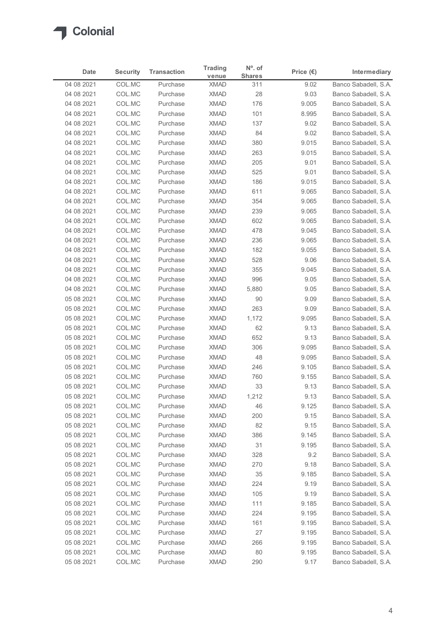

| Date                     | <b>Security</b>  | <b>Transaction</b>   | <b>Trading</b>             | $No$ . of            | Price $(\epsilon)$ | Intermediary                                 |
|--------------------------|------------------|----------------------|----------------------------|----------------------|--------------------|----------------------------------------------|
| 04 08 2021               | COL.MC           | Purchase             | venue<br><b>XMAD</b>       | <b>Shares</b><br>311 | 9.02               | Banco Sabadell, S.A.                         |
| 04 08 2021               | COL.MC           | Purchase             | <b>XMAD</b>                | 28                   | 9.03               | Banco Sabadell, S.A.                         |
| 04 08 2021               | COL.MC           | Purchase             | <b>XMAD</b>                | 176                  | 9.005              | Banco Sabadell, S.A.                         |
| 04 08 2021               | COL.MC           | Purchase             | <b>XMAD</b>                | 101                  | 8.995              | Banco Sabadell, S.A.                         |
| 04 08 2021               | COL.MC           | Purchase             | <b>XMAD</b>                | 137                  | 9.02               | Banco Sabadell, S.A.                         |
| 04 08 2021               | COL.MC           | Purchase             | <b>XMAD</b>                | 84                   | 9.02               | Banco Sabadell, S.A.                         |
| 04 08 2021               | COL.MC           | Purchase             | <b>XMAD</b>                | 380                  | 9.015              | Banco Sabadell, S.A.                         |
| 04 08 2021<br>04 08 2021 | COL.MC<br>COL.MC | Purchase<br>Purchase | <b>XMAD</b><br><b>XMAD</b> | 263<br>205           | 9.015<br>9.01      | Banco Sabadell, S.A.<br>Banco Sabadell, S.A. |
| 04 08 2021               | COL.MC           | Purchase             | <b>XMAD</b>                | 525                  | 9.01               | Banco Sabadell, S.A.                         |
| 04 08 2021               | COL.MC           | Purchase             | <b>XMAD</b>                | 186                  | 9.015              | Banco Sabadell, S.A.                         |
| 04 08 2021               | COL.MC           | Purchase             | <b>XMAD</b>                | 611                  | 9.065              | Banco Sabadell, S.A.                         |
| 04 08 2021               | COL.MC           | Purchase             | <b>XMAD</b>                | 354                  | 9.065              | Banco Sabadell, S.A.                         |
| 04 08 2021               | COL.MC           | Purchase             | XMAD                       | 239                  | 9.065              | Banco Sabadell, S.A.                         |
| 04 08 2021               | COL.MC           | Purchase             | <b>XMAD</b>                | 602                  | 9.065              | Banco Sabadell, S.A.                         |
| 04 08 2021               | COL.MC           | Purchase             | <b>XMAD</b>                | 478                  | 9.045              | Banco Sabadell, S.A.                         |
| 04 08 2021<br>04 08 2021 | COL.MC<br>COL.MC | Purchase<br>Purchase | XMAD<br><b>XMAD</b>        | 236<br>182           | 9.065<br>9.055     | Banco Sabadell, S.A.<br>Banco Sabadell, S.A. |
| 04 08 2021               | COL.MC           | Purchase             | <b>XMAD</b>                | 528                  | 9.06               | Banco Sabadell, S.A.                         |
| 04 08 2021               | COL.MC           | Purchase             | <b>XMAD</b>                | 355                  | 9.045              | Banco Sabadell, S.A.                         |
| 04 08 2021               | COL.MC           | Purchase             | <b>XMAD</b>                | 996                  | 9.05               | Banco Sabadell, S.A.                         |
| 04 08 2021               | COL.MC           | Purchase             | <b>XMAD</b>                | 5,880                | 9.05               | Banco Sabadell, S.A.                         |
| 05 08 2021               | COL.MC           | Purchase             | <b>XMAD</b>                | 90                   | 9.09               | Banco Sabadell, S.A.                         |
| 05 08 2021               | COL.MC           | Purchase             | <b>XMAD</b>                | 263                  | 9.09               | Banco Sabadell, S.A.                         |
| 05 08 2021               | COL.MC           | Purchase             | XMAD                       | 1,172                | 9.095              | Banco Sabadell, S.A.                         |
| 05 08 2021               | COL.MC           | Purchase             | <b>XMAD</b>                | 62                   | 9.13               | Banco Sabadell, S.A.                         |
| 05 08 2021<br>05 08 2021 | COL.MC<br>COL.MC | Purchase<br>Purchase | <b>XMAD</b><br><b>XMAD</b> | 652<br>306           | 9.13<br>9.095      | Banco Sabadell, S.A.<br>Banco Sabadell, S.A. |
| 05 08 2021               | COL.MC           | Purchase             | <b>XMAD</b>                | 48                   | 9.095              | Banco Sabadell, S.A.                         |
| 05 08 2021               | COL.MC           | Purchase             | <b>XMAD</b>                | 246                  | 9.105              | Banco Sabadell, S.A.                         |
| 05 08 2021               | COL.MC           | Purchase             | <b>XMAD</b>                | 760                  | 9.155              | Banco Sabadell, S.A.                         |
| 05 08 2021               | COL.MC           | Purchase             | <b>XMAD</b>                | 33                   | 9.13               | Banco Sabadell, S.A.                         |
| 05 08 2021               | COL.MC           | Purchase             | <b>XMAD</b>                | 1,212                | 9.13               | Banco Sabadell, S.A.                         |
| 05 08 2021               | COL.MC           | Purchase             | <b>XMAD</b>                | 46                   | 9.125              | Banco Sabadell, S.A.                         |
| 05 08 2021               | COL.MC           | Purchase             | <b>XMAD</b>                | 200                  | 9.15               | Banco Sabadell, S.A.                         |
| 05 08 2021               | COL.MC           | Purchase             | <b>XMAD</b>                | 82                   | 9.15               | Banco Sabadell, S.A.                         |
| 05 08 2021<br>05 08 2021 | COL.MC<br>COL.MC | Purchase<br>Purchase | <b>XMAD</b><br><b>XMAD</b> | 386<br>31            | 9.145<br>9.195     | Banco Sabadell, S.A.<br>Banco Sabadell, S.A. |
| 05 08 2021               | COL.MC           | Purchase             | <b>XMAD</b>                | 328                  | 9.2                | Banco Sabadell, S.A.                         |
| 05 08 2021               | COL.MC           | Purchase             | <b>XMAD</b>                | 270                  | 9.18               | Banco Sabadell, S.A.                         |
| 05 08 2021               | COL.MC           | Purchase             | <b>XMAD</b>                | 35                   | 9.185              | Banco Sabadell, S.A.                         |
| 05 08 2021               | COL.MC           | Purchase             | <b>XMAD</b>                | 224                  | 9.19               | Banco Sabadell, S.A.                         |
| 05 08 2021               | COL.MC           | Purchase             | <b>XMAD</b>                | 105                  | 9.19               | Banco Sabadell, S.A.                         |
| 05 08 2021               | COL.MC           | Purchase             | <b>XMAD</b>                | 111                  | 9.185              | Banco Sabadell, S.A.                         |
| 05 08 2021               | COL.MC           | Purchase             | <b>XMAD</b>                | 224                  | 9.195              | Banco Sabadell, S.A.                         |
| 05 08 2021               | COL.MC           | Purchase             | <b>XMAD</b>                | 161                  | 9.195              | Banco Sabadell, S.A.                         |
| 05 08 2021<br>05 08 2021 | COL.MC<br>COL.MC | Purchase<br>Purchase | XMAD<br><b>XMAD</b>        | 27<br>266            | 9.195<br>9.195     | Banco Sabadell, S.A.<br>Banco Sabadell, S.A. |
|                          | COL.MC           | Purchase             | <b>XMAD</b>                | 80                   | 9.195              | Banco Sabadell, S.A.                         |
| 05 08 2021               |                  | Purchase             | XMAD                       | 290                  | 9.17               | Banco Sabadell, S.A.                         |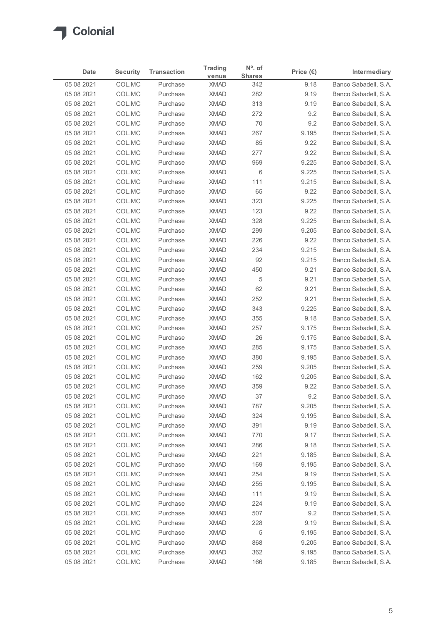

|                          |                  |                      | <b>Trading</b>             | $No$ . of     |                    |                                              |
|--------------------------|------------------|----------------------|----------------------------|---------------|--------------------|----------------------------------------------|
| Date                     | <b>Security</b>  | <b>Transaction</b>   | venue                      | <b>Shares</b> | Price $(\epsilon)$ | Intermediary                                 |
| 05 08 2021<br>05 08 2021 | COL.MC<br>COL.MC | Purchase<br>Purchase | <b>XMAD</b><br><b>XMAD</b> | 342<br>282    | 9.18<br>9.19       | Banco Sabadell, S.A.<br>Banco Sabadell, S.A. |
| 05 08 2021               | COL.MC           | Purchase             | <b>XMAD</b>                | 313           | 9.19               | Banco Sabadell, S.A.                         |
| 05 08 2021               | COL.MC           | Purchase             | <b>XMAD</b>                | 272           | 9.2                | Banco Sabadell, S.A.                         |
| 05 08 2021               | COL.MC           | Purchase             | <b>XMAD</b>                | 70            | 9.2                | Banco Sabadell, S.A.                         |
| 05 08 2021               | COL.MC           | Purchase             | <b>XMAD</b>                | 267           | 9.195              | Banco Sabadell, S.A.                         |
| 05 08 2021               | COL.MC           | Purchase             | <b>XMAD</b>                | 85            | 9.22               | Banco Sabadell, S.A.                         |
| 05 08 2021               | COL.MC           | Purchase             | <b>XMAD</b>                | 277           | 9.22               | Banco Sabadell, S.A.                         |
| 05 08 2021<br>05 08 2021 | COL.MC<br>COL.MC | Purchase<br>Purchase | <b>XMAD</b><br><b>XMAD</b> | 969<br>6      | 9.225<br>9.225     | Banco Sabadell, S.A.<br>Banco Sabadell, S.A. |
| 05 08 2021               | COL.MC           | Purchase             | <b>XMAD</b>                | 111           | 9.215              | Banco Sabadell, S.A.                         |
| 05 08 2021               | COL.MC           | Purchase             | <b>XMAD</b>                | 65            | 9.22               | Banco Sabadell, S.A.                         |
| 05 08 2021               | COL.MC           | Purchase             | <b>XMAD</b>                | 323           | 9.225              | Banco Sabadell, S.A.                         |
| 05 08 2021               | COL.MC           | Purchase             | XMAD                       | 123           | 9.22               | Banco Sabadell, S.A.                         |
| 05 08 2021               | COL.MC           | Purchase             | XMAD                       | 328           | 9.225              | Banco Sabadell, S.A.                         |
| 05 08 2021               | COL.MC           | Purchase             | XMAD                       | 299           | 9.205              | Banco Sabadell, S.A.                         |
| 05 08 2021               | COL.MC           | Purchase             | XMAD                       | 226           | 9.22               | Banco Sabadell, S.A.                         |
| 05 08 2021<br>05 08 2021 | COL.MC<br>COL.MC | Purchase<br>Purchase | <b>XMAD</b><br><b>XMAD</b> | 234<br>92     | 9.215<br>9.215     | Banco Sabadell, S.A.<br>Banco Sabadell, S.A. |
| 05 08 2021               | COL.MC           | Purchase             | <b>XMAD</b>                | 450           | 9.21               | Banco Sabadell, S.A.                         |
| 05 08 2021               | COL.MC           | Purchase             | <b>XMAD</b>                | 5             | 9.21               | Banco Sabadell, S.A.                         |
| 05 08 2021               | COL.MC           | Purchase             | XMAD                       | 62            | 9.21               | Banco Sabadell, S.A.                         |
| 05 08 2021               | COL.MC           | Purchase             | XMAD                       | 252           | 9.21               | Banco Sabadell, S.A.                         |
| 05 08 2021               | COL.MC           | Purchase             | XMAD                       | 343           | 9.225              | Banco Sabadell, S.A.                         |
| 05 08 2021               | COL.MC           | Purchase             | <b>XMAD</b>                | 355           | 9.18               | Banco Sabadell, S.A.                         |
| 05 08 2021               | COL.MC           | Purchase             | <b>XMAD</b>                | 257           | 9.175              | Banco Sabadell, S.A.                         |
| 05 08 2021               | COL.MC           | Purchase             | XMAD                       | 26            | 9.175              | Banco Sabadell, S.A.                         |
| 05 08 2021<br>05 08 2021 | COL.MC<br>COL.MC | Purchase<br>Purchase | XMAD<br>XMAD               | 285<br>380    | 9.175<br>9.195     | Banco Sabadell, S.A.<br>Banco Sabadell, S.A. |
| 05 08 2021               | COL.MC           | Purchase             | <b>XMAD</b>                | 259           | 9.205              | Banco Sabadell, S.A.                         |
| 05 08 2021               | COL.MC           | Purchase             | <b>XMAD</b>                | 162           | 9.205              | Banco Sabadell, S.A.                         |
| 05 08 2021               | COL.MC           | Purchase             | XMAD                       | 359           | 9.22               | Banco Sabadell, S.A.                         |
| 05 08 2021               | COL.MC           | Purchase             | XMAD                       | 37            | 9.2                | Banco Sabadell, S.A.                         |
| 05 08 2021               | COL.MC           | Purchase             | <b>XMAD</b>                | 787           | 9.205              | Banco Sabadell, S.A.                         |
| 05 08 2021               | COL.MC           | Purchase             | <b>XMAD</b>                | 324           | 9.195              | Banco Sabadell, S.A.                         |
| 05 08 2021               | COL.MC           | Purchase             | XMAD                       | 391           | 9.19               | Banco Sabadell, S.A.                         |
| 05 08 2021               | COL.MC           | Purchase             | <b>XMAD</b>                | 770           | 9.17               | Banco Sabadell, S.A.                         |
| 05 08 2021<br>05 08 2021 | COL.MC<br>COL.MC | Purchase<br>Purchase | <b>XMAD</b><br>XMAD        | 286<br>221    | 9.18<br>9.185      | Banco Sabadell, S.A.<br>Banco Sabadell, S.A. |
| 05 08 2021               | COL.MC           | Purchase             | <b>XMAD</b>                | 169           | 9.195              | Banco Sabadell, S.A.                         |
| 05 08 2021               | COL.MC           | Purchase             | <b>XMAD</b>                | 254           | 9.19               | Banco Sabadell, S.A.                         |
| 05 08 2021               | COL.MC           | Purchase             | <b>XMAD</b>                | 255           | 9.195              | Banco Sabadell, S.A.                         |
| 05 08 2021               | COL.MC           | Purchase             | <b>XMAD</b>                | 111           | 9.19               | Banco Sabadell, S.A.                         |
| 05 08 2021               | COL.MC           | Purchase             | <b>XMAD</b>                | 224           | 9.19               | Banco Sabadell, S.A.                         |
| 05 08 2021               | COL.MC           | Purchase             | XMAD                       | 507           | 9.2                | Banco Sabadell, S.A.                         |
| 05 08 2021               | COL.MC           | Purchase             | <b>XMAD</b>                | 228           | 9.19               | Banco Sabadell, S.A.                         |
| 05 08 2021               | COL.MC           | Purchase             | XMAD                       | 5             | 9.195              | Banco Sabadell, S.A.                         |
| 05 08 2021               | COL.MC<br>COL.MC | Purchase             | <b>XMAD</b>                | 868           | 9.205              | Banco Sabadell, S.A.                         |
| 05 08 2021               |                  | Purchase             | <b>XMAD</b>                | 362           | 9.195              | Banco Sabadell, S.A.                         |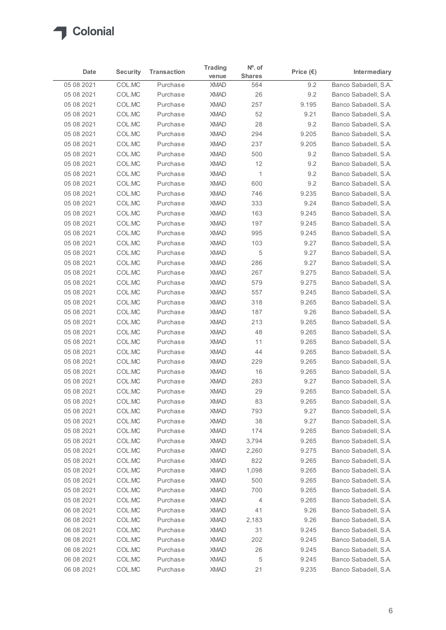

| Date                     | <b>Security</b>  | <b>Transaction</b>   | <b>Trading</b>             | $No$ . of            | Price $(\epsilon)$ | Intermediary                                 |
|--------------------------|------------------|----------------------|----------------------------|----------------------|--------------------|----------------------------------------------|
| 05 08 2021               | COL.MC           | Purchase             | venue<br><b>XMAD</b>       | <b>Shares</b><br>564 | 9.2                | Banco Sabadell, S.A.                         |
| 05 08 2021               | COL.MC           | Purchase             | <b>XMAD</b>                | 26                   | 9.2                | Banco Sabadell, S.A.                         |
| 05 08 2021               | COL.MC           | Purchase             | <b>XMAD</b>                | 257                  | 9.195              | Banco Sabadell, S.A.                         |
| 05 08 2021               | COL.MC           | Purchase             | <b>XMAD</b>                | 52                   | 9.21               | Banco Sabadell, S.A.                         |
| 05 08 2021               | COL.MC           | Purchase             | <b>XMAD</b>                | 28                   | 9.2                | Banco Sabadell, S.A.                         |
| 05 08 2021               | COL.MC           | Purchase             | <b>XMAD</b>                | 294                  | 9.205              | Banco Sabadell, S.A.                         |
| 05 08 2021               | COL.MC           | Purchase             | <b>XMAD</b>                | 237                  | 9.205              | Banco Sabadell, S.A.                         |
| 05 08 2021               | COL.MC           | Purchase             | <b>XMAD</b>                | 500                  | 9.2                | Banco Sabadell, S.A.                         |
| 05 08 2021               | COL.MC           | Purchase             | <b>XMAD</b>                | 12                   | 9.2                | Banco Sabadell, S.A.                         |
| 05 08 2021               | COL.MC           | Purchase             | <b>XMAD</b>                | $\mathbf{1}$         | 9.2                | Banco Sabadell, S.A.                         |
| 05 08 2021               | COL.MC           | Purchase             | <b>XMAD</b>                | 600                  | 9.2                | Banco Sabadell, S.A.                         |
| 05 08 2021               | COL.MC           | Purchase             | <b>XMAD</b>                | 746                  | 9.235              | Banco Sabadell, S.A.                         |
| 05 08 2021               | COL.MC           | Purchase             | <b>XMAD</b>                | 333                  | 9.24               | Banco Sabadell, S.A.                         |
| 05 08 2021               | COL.MC           | Purchase             | <b>XMAD</b>                | 163                  | 9.245              | Banco Sabadell, S.A.                         |
| 05 08 2021               | COL.MC           | Purchase             | <b>XMAD</b>                | 197                  | 9.245              | Banco Sabadell, S.A.                         |
| 05 08 2021               | COL.MC           | Purchase             | <b>XMAD</b>                | 995                  | 9.245              | Banco Sabadell, S.A.                         |
| 05 08 2021               | COL.MC           | Purchase             | <b>XMAD</b>                | 103                  | 9.27               | Banco Sabadell, S.A.                         |
| 05 08 2021               | COL.MC           | Purchase             | <b>XMAD</b>                | 5                    | 9.27               | Banco Sabadell, S.A.                         |
| 05 08 2021               | COL.MC           | Purchase             | <b>XMAD</b>                | 286                  | 9.27               | Banco Sabadell, S.A.                         |
| 05 08 2021               | COL.MC           | Purchase             | <b>XMAD</b>                | 267                  | 9.275              | Banco Sabadell, S.A.                         |
| 05 08 2021               | COL.MC           | Purchase             | <b>XMAD</b>                | 579                  | 9.275              | Banco Sabadell, S.A.                         |
| 05 08 2021               | COL.MC           | Purchase             | <b>XMAD</b>                | 557                  | 9.245              | Banco Sabadell, S.A.                         |
| 05 08 2021               | COL.MC           | Purchase             | <b>XMAD</b>                | 318                  | 9.265              | Banco Sabadell, S.A.                         |
| 05 08 2021               | COL.MC           | Purchase             | <b>XMAD</b>                | 187                  | 9.26               | Banco Sabadell, S.A.                         |
| 05 08 2021               | COL.MC           | Purchase             | <b>XMAD</b>                | 213                  | 9.265              | Banco Sabadell, S.A.                         |
| 05 08 2021               | COL.MC           | Purchase             | <b>XMAD</b>                | 48<br>11             | 9.265              | Banco Sabadell, S.A.                         |
| 05 08 2021               | COL.MC<br>COL.MC | Purchase             | <b>XMAD</b>                | 44                   | 9.265<br>9.265     | Banco Sabadell, S.A.                         |
| 05 08 2021               |                  | Purchase             | <b>XMAD</b>                |                      |                    | Banco Sabadell, S.A.                         |
| 05 08 2021<br>05 08 2021 | COL.MC<br>COL.MC | Purchase<br>Purchase | <b>XMAD</b><br><b>XMAD</b> | 229<br>16            | 9.265<br>9.265     | Banco Sabadell, S.A.<br>Banco Sabadell, S.A. |
| 05 08 2021               | COL.MC           | Purchase             | <b>XMAD</b>                | 283                  | 9.27               | Banco Sabadell, S.A.                         |
| 05 08 2021               | COL.MC           | Purchase             | <b>XMAD</b>                | 29                   | 9.265              | Banco Sabadell, S.A.                         |
| 05 08 2021               | COL.MC           | Purchase             | <b>XMAD</b>                | 83                   | 9.265              | Banco Sabadell, S.A.                         |
| 05 08 2021               | COL.MC           | Purchase             | <b>XMAD</b>                | 793                  | 9.27               | Banco Sabadell, S.A.                         |
| 05 08 2021               | COL.MC           | Purchase             | <b>XMAD</b>                | 38                   | 9.27               | Banco Sabadell, S.A.                         |
| 05 08 2021               | COL.MC           | Purchase             | <b>XMAD</b>                | 174                  | 9.265              | Banco Sabadell, S.A.                         |
| 05 08 2021               | COL.MC           | Purchase             | <b>XMAD</b>                | 3,794                | 9.265              | Banco Sabadell, S.A.                         |
| 05 08 2021               | COL.MC           | Purchase             | <b>XMAD</b>                | 2,260                | 9.275              | Banco Sabadell, S.A.                         |
| 05 08 2021               | COL.MC           | Purchase             | <b>XMAD</b>                | 822                  | 9.265              | Banco Sabadell, S.A.                         |
| 05 08 2021               | COL.MC           | Purchase             | <b>XMAD</b>                | 1,098                | 9.265              | Banco Sabadell, S.A.                         |
| 05 08 2021               | COL.MC           | Purchase             | <b>XMAD</b>                | 500                  | 9.265              | Banco Sabadell, S.A.                         |
| 05 08 2021               | COL.MC           | Purchase             | <b>XMAD</b>                | 700                  | 9.265              | Banco Sabadell, S.A.                         |
| 05 08 2021               | COL.MC           | Purchase             | <b>XMAD</b>                | 4                    | 9.265              | Banco Sabadell, S.A.                         |
| 06 08 2021               | COL.MC           | Purchase             | <b>XMAD</b>                | 41                   | 9.26               | Banco Sabadell, S.A.                         |
| 06 08 2021               | COL.MC           | Purchase             | <b>XMAD</b>                | 2,183                | 9.26               | Banco Sabadell, S.A.                         |
| 06 08 2021               | COL.MC           | Purchase             | <b>XMAD</b>                | 31                   | 9.245              | Banco Sabadell, S.A.                         |
| 06 08 2021               | COL.MC           | Purchase             | <b>XMAD</b>                | 202                  | 9.245              | Banco Sabadell, S.A.                         |
| 06 08 2021               | COL.MC           | Purchase             | XMAD                       | 26                   | 9.245              | Banco Sabadell, S.A.                         |
|                          | COL.MC           | Purchase             | XMAD                       | 5                    | 9.245              | Banco Sabadell, S.A.                         |
| 06 08 2021               |                  |                      |                            |                      |                    |                                              |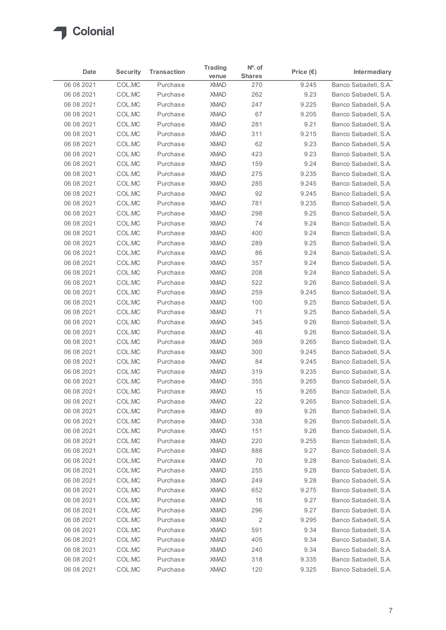

| Intermediary<br><b>Shares</b><br>venue<br>Banco Sabadell, S.A.<br>06 08 2021<br>COL.MC<br>9.245<br>Purchase<br><b>XMAD</b><br>270<br>COL.MC<br>262<br>9.23<br>Banco Sabadell, S.A.<br>06 08 2021<br>Purchase<br><b>XMAD</b><br>COL.MC<br>247<br>9.225<br>06 08 2021<br>Purchase<br><b>XMAD</b><br>Banco Sabadell, S.A.<br>COL.MC<br><b>XMAD</b><br>67<br>9.205<br>06 08 2021<br>Purchase<br>Banco Sabadell, S.A.<br>COL.MC<br>9.21<br>Banco Sabadell, S.A.<br>06 08 2021<br>Purchase<br><b>XMAD</b><br>281<br>COL.MC<br>9.215<br>Banco Sabadell, S.A.<br>06 08 2021<br>Purchase<br><b>XMAD</b><br>311<br>06 08 2021<br>COL.MC<br>Purchase<br><b>XMAD</b><br>62<br>9.23<br>Banco Sabadell, S.A.<br>06 08 2021<br>COL.MC<br><b>XMAD</b><br>423<br>9.23<br>Banco Sabadell, S.A.<br>Purchase<br>COL.MC<br>159<br>06 08 2021<br>Purchase<br><b>XMAD</b><br>9.24<br>Banco Sabadell, S.A.<br>COL.MC<br><b>XMAD</b><br>275<br>9.235<br>Banco Sabadell, S.A.<br>06 08 2021<br>Purchase<br>COL.MC<br>06 08 2021<br>Purchase<br><b>XMAD</b><br>285<br>9.245<br>Banco Sabadell, S.A.<br>92<br>9.245<br>06 08 2021<br>COL.MC<br>Purchase<br><b>XMAD</b><br>Banco Sabadell, S.A.<br>9.235<br>COL.MC<br><b>XMAD</b><br>781<br>Banco Sabadell, S.A.<br>06 08 2021<br>Purchase<br>Banco Sabadell, S.A.<br>06 08 2021<br>COL.MC<br>Purchase<br><b>XMAD</b><br>298<br>9.25<br>COL.MC<br>9.24<br>06 08 2021<br>Purchase<br><b>XMAD</b><br>74<br>9.24<br>06 08 2021<br>COL.MC<br>Purchase<br><b>XMAD</b><br>400<br>9.25<br>06 08 2021<br>COL.MC<br>Purchase<br><b>XMAD</b><br>289<br>86<br>06 08 2021<br>COL.MC<br>Purchase<br><b>XMAD</b><br>9.24<br>357<br>9.24<br>06 08 2021<br>COL.MC<br>Purchase<br><b>XMAD</b><br>COL.MC<br>Purchase<br><b>XMAD</b><br>208<br>9.24<br>06 08 2021<br>COL.MC<br>06 08 2021<br>Purchase<br><b>XMAD</b><br>522<br>9.26<br>259<br>06 08 2021<br>COL.MC<br>Purchase<br><b>XMAD</b><br>9.245<br>06 08 2021<br>COL.MC<br>Purchase<br><b>XMAD</b><br>100<br>9.25<br>71<br>9.25<br>06 08 2021<br>COL.MC<br>Purchase<br><b>XMAD</b><br>COL.MC<br>9.26<br>06 08 2021<br>Purchase<br><b>XMAD</b><br>345<br>46<br>9.26<br>06 08 2021<br>COL.MC<br>Purchase<br><b>XMAD</b><br>06 08 2021<br>COL.MC<br>Purchase<br><b>XMAD</b><br>369<br>9.265<br>COL.MC<br>XMAD<br>9.245<br>06 08 2021<br>Purchase<br>300<br>COL.MC<br>9.245<br>06 08 2021<br>Purchase<br><b>XMAD</b><br>84<br>06 08 2021<br>COL.MC<br>Purchase<br><b>XMAD</b><br>319<br>9.235<br>06 08 2021<br>COL.MC<br><b>XMAD</b><br>355<br>9.265<br>Purchase<br>15<br>9.265<br>06 08 2021<br>COL.MC<br><b>XMAD</b><br>Purchase<br><b>XMAD</b><br>22<br>9.265<br>06 08 2021<br>COL.MC<br>Purchase<br>89<br>06 08 2021<br>COL.MC<br>Purchase<br><b>XMAD</b><br>9.26<br>06 08 2021<br>COL.MC<br>Purchase<br><b>XMAD</b><br>338<br>9.26<br>9.26<br>06 08 2021<br>COL.MC<br>Purchase<br><b>XMAD</b><br>151<br>220<br>9.255<br>06 08 2021<br>COL.MC<br><b>XMAD</b><br>Purchase<br>06 08 2021<br>COL.MC<br>Purchase<br><b>XMAD</b><br>888<br>9.27<br>COL.MC<br>70<br>9.28<br>06 08 2021<br>Purchase<br><b>XMAD</b><br>COL.MC<br>06 08 2021<br>Purchase<br><b>XMAD</b><br>255<br>9.28<br>06 08 2021<br>COL.MC<br>Purchase<br><b>XMAD</b><br>249<br>9.28<br>652<br>9.275<br>06 08 2021<br>COL.MC<br><b>XMAD</b><br>Purchase<br>16<br>06 08 2021<br>COL.MC<br>Purchase<br><b>XMAD</b><br>9.27<br>COL.MC<br>06 08 2021<br>Purchase<br><b>XMAD</b><br>296<br>9.27<br>2<br>06 08 2021<br>COL.MC<br>Purchase<br><b>XMAD</b><br>9.295<br>06 08 2021<br>COL.MC<br>Purchase<br><b>XMAD</b><br>591<br>9.34<br>405<br>COL.MC<br><b>XMAD</b><br>9.34<br>06 08 2021<br>Purchase<br>COL.MC<br>XMAD<br>240<br>9.34<br>Banco Sabadell, S.A.<br>06 08 2021<br>Purchase<br>9.335<br>06 08 2021<br>COL.MC<br>Purchase<br><b>XMAD</b><br>318<br>Banco Sabadell, S.A.<br>9.325<br>06 08 2021<br>COLMC<br><b>XMAD</b><br>120<br>Purchase<br>Banco Sabadell, S.A. |      |                 |                    | <b>Trading</b> | $No$ . of |                    |  |
|-------------------------------------------------------------------------------------------------------------------------------------------------------------------------------------------------------------------------------------------------------------------------------------------------------------------------------------------------------------------------------------------------------------------------------------------------------------------------------------------------------------------------------------------------------------------------------------------------------------------------------------------------------------------------------------------------------------------------------------------------------------------------------------------------------------------------------------------------------------------------------------------------------------------------------------------------------------------------------------------------------------------------------------------------------------------------------------------------------------------------------------------------------------------------------------------------------------------------------------------------------------------------------------------------------------------------------------------------------------------------------------------------------------------------------------------------------------------------------------------------------------------------------------------------------------------------------------------------------------------------------------------------------------------------------------------------------------------------------------------------------------------------------------------------------------------------------------------------------------------------------------------------------------------------------------------------------------------------------------------------------------------------------------------------------------------------------------------------------------------------------------------------------------------------------------------------------------------------------------------------------------------------------------------------------------------------------------------------------------------------------------------------------------------------------------------------------------------------------------------------------------------------------------------------------------------------------------------------------------------------------------------------------------------------------------------------------------------------------------------------------------------------------------------------------------------------------------------------------------------------------------------------------------------------------------------------------------------------------------------------------------------------------------------------------------------------------------------------------------------------------------------------------------------------------------------------------------------------------------------------------------------------------------------------------------------------------------------------------------------------------------------------------------------------------------------------------------------------------------------------------------------------------------------------------------------------------------------------------------------------------------------------------------------------------------------------------------------------------------------------------------------------------------------------------------------------------------------------------------------------------------------|------|-----------------|--------------------|----------------|-----------|--------------------|--|
| Banco Sabadell, S.A.<br>Banco Sabadell, S.A.<br>Banco Sabadell, S.A.<br>Banco Sabadell, S.A.<br>Banco Sabadell, S.A.<br>Banco Sabadell, S.A.<br>Banco Sabadell, S.A.<br>Banco Sabadell, S.A.<br>Banco Sabadell, S.A.<br>Banco Sabadell, S.A.<br>Banco Sabadell, S.A.<br>Banco Sabadell, S.A.<br>Banco Sabadell, S.A.<br>Banco Sabadell, S.A.<br>Banco Sabadell, S.A.<br>Banco Sabadell, S.A.<br>Banco Sabadell, S.A.<br>Banco Sabadell, S.A.<br>Banco Sabadell, S.A.<br>Banco Sabadell, S.A.<br>Banco Sabadell, S.A.<br>Banco Sabadell, S.A.<br>Banco Sabadell, S.A.<br>Banco Sabadell, S.A.<br>Banco Sabadell, S.A.<br>Banco Sabadell, S.A.<br>Banco Sabadell, S.A.<br>Banco Sabadell, S.A.<br>Banco Sabadell, S.A.<br>Banco Sabadell, S.A.<br>Banco Sabadell, S.A.<br>Banco Sabadell, S.A.<br>Banco Sabadell, S.A.                                                                                                                                                                                                                                                                                                                                                                                                                                                                                                                                                                                                                                                                                                                                                                                                                                                                                                                                                                                                                                                                                                                                                                                                                                                                                                                                                                                                                                                                                                                                                                                                                                                                                                                                                                                                                                                                                                                                                                                                                                                                                                                                                                                                                                                                                                                                                                                                                                                                                                                                                                                                                                                                                                                                                                                                                                                                                                                                                                                                                                                                      | Date | <b>Security</b> | <b>Transaction</b> |                |           | Price $(\epsilon)$ |  |
|                                                                                                                                                                                                                                                                                                                                                                                                                                                                                                                                                                                                                                                                                                                                                                                                                                                                                                                                                                                                                                                                                                                                                                                                                                                                                                                                                                                                                                                                                                                                                                                                                                                                                                                                                                                                                                                                                                                                                                                                                                                                                                                                                                                                                                                                                                                                                                                                                                                                                                                                                                                                                                                                                                                                                                                                                                                                                                                                                                                                                                                                                                                                                                                                                                                                                                                                                                                                                                                                                                                                                                                                                                                                                                                                                                                                                                                                                           |      |                 |                    |                |           |                    |  |
|                                                                                                                                                                                                                                                                                                                                                                                                                                                                                                                                                                                                                                                                                                                                                                                                                                                                                                                                                                                                                                                                                                                                                                                                                                                                                                                                                                                                                                                                                                                                                                                                                                                                                                                                                                                                                                                                                                                                                                                                                                                                                                                                                                                                                                                                                                                                                                                                                                                                                                                                                                                                                                                                                                                                                                                                                                                                                                                                                                                                                                                                                                                                                                                                                                                                                                                                                                                                                                                                                                                                                                                                                                                                                                                                                                                                                                                                                           |      |                 |                    |                |           |                    |  |
|                                                                                                                                                                                                                                                                                                                                                                                                                                                                                                                                                                                                                                                                                                                                                                                                                                                                                                                                                                                                                                                                                                                                                                                                                                                                                                                                                                                                                                                                                                                                                                                                                                                                                                                                                                                                                                                                                                                                                                                                                                                                                                                                                                                                                                                                                                                                                                                                                                                                                                                                                                                                                                                                                                                                                                                                                                                                                                                                                                                                                                                                                                                                                                                                                                                                                                                                                                                                                                                                                                                                                                                                                                                                                                                                                                                                                                                                                           |      |                 |                    |                |           |                    |  |
|                                                                                                                                                                                                                                                                                                                                                                                                                                                                                                                                                                                                                                                                                                                                                                                                                                                                                                                                                                                                                                                                                                                                                                                                                                                                                                                                                                                                                                                                                                                                                                                                                                                                                                                                                                                                                                                                                                                                                                                                                                                                                                                                                                                                                                                                                                                                                                                                                                                                                                                                                                                                                                                                                                                                                                                                                                                                                                                                                                                                                                                                                                                                                                                                                                                                                                                                                                                                                                                                                                                                                                                                                                                                                                                                                                                                                                                                                           |      |                 |                    |                |           |                    |  |
|                                                                                                                                                                                                                                                                                                                                                                                                                                                                                                                                                                                                                                                                                                                                                                                                                                                                                                                                                                                                                                                                                                                                                                                                                                                                                                                                                                                                                                                                                                                                                                                                                                                                                                                                                                                                                                                                                                                                                                                                                                                                                                                                                                                                                                                                                                                                                                                                                                                                                                                                                                                                                                                                                                                                                                                                                                                                                                                                                                                                                                                                                                                                                                                                                                                                                                                                                                                                                                                                                                                                                                                                                                                                                                                                                                                                                                                                                           |      |                 |                    |                |           |                    |  |
|                                                                                                                                                                                                                                                                                                                                                                                                                                                                                                                                                                                                                                                                                                                                                                                                                                                                                                                                                                                                                                                                                                                                                                                                                                                                                                                                                                                                                                                                                                                                                                                                                                                                                                                                                                                                                                                                                                                                                                                                                                                                                                                                                                                                                                                                                                                                                                                                                                                                                                                                                                                                                                                                                                                                                                                                                                                                                                                                                                                                                                                                                                                                                                                                                                                                                                                                                                                                                                                                                                                                                                                                                                                                                                                                                                                                                                                                                           |      |                 |                    |                |           |                    |  |
|                                                                                                                                                                                                                                                                                                                                                                                                                                                                                                                                                                                                                                                                                                                                                                                                                                                                                                                                                                                                                                                                                                                                                                                                                                                                                                                                                                                                                                                                                                                                                                                                                                                                                                                                                                                                                                                                                                                                                                                                                                                                                                                                                                                                                                                                                                                                                                                                                                                                                                                                                                                                                                                                                                                                                                                                                                                                                                                                                                                                                                                                                                                                                                                                                                                                                                                                                                                                                                                                                                                                                                                                                                                                                                                                                                                                                                                                                           |      |                 |                    |                |           |                    |  |
|                                                                                                                                                                                                                                                                                                                                                                                                                                                                                                                                                                                                                                                                                                                                                                                                                                                                                                                                                                                                                                                                                                                                                                                                                                                                                                                                                                                                                                                                                                                                                                                                                                                                                                                                                                                                                                                                                                                                                                                                                                                                                                                                                                                                                                                                                                                                                                                                                                                                                                                                                                                                                                                                                                                                                                                                                                                                                                                                                                                                                                                                                                                                                                                                                                                                                                                                                                                                                                                                                                                                                                                                                                                                                                                                                                                                                                                                                           |      |                 |                    |                |           |                    |  |
|                                                                                                                                                                                                                                                                                                                                                                                                                                                                                                                                                                                                                                                                                                                                                                                                                                                                                                                                                                                                                                                                                                                                                                                                                                                                                                                                                                                                                                                                                                                                                                                                                                                                                                                                                                                                                                                                                                                                                                                                                                                                                                                                                                                                                                                                                                                                                                                                                                                                                                                                                                                                                                                                                                                                                                                                                                                                                                                                                                                                                                                                                                                                                                                                                                                                                                                                                                                                                                                                                                                                                                                                                                                                                                                                                                                                                                                                                           |      |                 |                    |                |           |                    |  |
|                                                                                                                                                                                                                                                                                                                                                                                                                                                                                                                                                                                                                                                                                                                                                                                                                                                                                                                                                                                                                                                                                                                                                                                                                                                                                                                                                                                                                                                                                                                                                                                                                                                                                                                                                                                                                                                                                                                                                                                                                                                                                                                                                                                                                                                                                                                                                                                                                                                                                                                                                                                                                                                                                                                                                                                                                                                                                                                                                                                                                                                                                                                                                                                                                                                                                                                                                                                                                                                                                                                                                                                                                                                                                                                                                                                                                                                                                           |      |                 |                    |                |           |                    |  |
|                                                                                                                                                                                                                                                                                                                                                                                                                                                                                                                                                                                                                                                                                                                                                                                                                                                                                                                                                                                                                                                                                                                                                                                                                                                                                                                                                                                                                                                                                                                                                                                                                                                                                                                                                                                                                                                                                                                                                                                                                                                                                                                                                                                                                                                                                                                                                                                                                                                                                                                                                                                                                                                                                                                                                                                                                                                                                                                                                                                                                                                                                                                                                                                                                                                                                                                                                                                                                                                                                                                                                                                                                                                                                                                                                                                                                                                                                           |      |                 |                    |                |           |                    |  |
|                                                                                                                                                                                                                                                                                                                                                                                                                                                                                                                                                                                                                                                                                                                                                                                                                                                                                                                                                                                                                                                                                                                                                                                                                                                                                                                                                                                                                                                                                                                                                                                                                                                                                                                                                                                                                                                                                                                                                                                                                                                                                                                                                                                                                                                                                                                                                                                                                                                                                                                                                                                                                                                                                                                                                                                                                                                                                                                                                                                                                                                                                                                                                                                                                                                                                                                                                                                                                                                                                                                                                                                                                                                                                                                                                                                                                                                                                           |      |                 |                    |                |           |                    |  |
|                                                                                                                                                                                                                                                                                                                                                                                                                                                                                                                                                                                                                                                                                                                                                                                                                                                                                                                                                                                                                                                                                                                                                                                                                                                                                                                                                                                                                                                                                                                                                                                                                                                                                                                                                                                                                                                                                                                                                                                                                                                                                                                                                                                                                                                                                                                                                                                                                                                                                                                                                                                                                                                                                                                                                                                                                                                                                                                                                                                                                                                                                                                                                                                                                                                                                                                                                                                                                                                                                                                                                                                                                                                                                                                                                                                                                                                                                           |      |                 |                    |                |           |                    |  |
|                                                                                                                                                                                                                                                                                                                                                                                                                                                                                                                                                                                                                                                                                                                                                                                                                                                                                                                                                                                                                                                                                                                                                                                                                                                                                                                                                                                                                                                                                                                                                                                                                                                                                                                                                                                                                                                                                                                                                                                                                                                                                                                                                                                                                                                                                                                                                                                                                                                                                                                                                                                                                                                                                                                                                                                                                                                                                                                                                                                                                                                                                                                                                                                                                                                                                                                                                                                                                                                                                                                                                                                                                                                                                                                                                                                                                                                                                           |      |                 |                    |                |           |                    |  |
|                                                                                                                                                                                                                                                                                                                                                                                                                                                                                                                                                                                                                                                                                                                                                                                                                                                                                                                                                                                                                                                                                                                                                                                                                                                                                                                                                                                                                                                                                                                                                                                                                                                                                                                                                                                                                                                                                                                                                                                                                                                                                                                                                                                                                                                                                                                                                                                                                                                                                                                                                                                                                                                                                                                                                                                                                                                                                                                                                                                                                                                                                                                                                                                                                                                                                                                                                                                                                                                                                                                                                                                                                                                                                                                                                                                                                                                                                           |      |                 |                    |                |           |                    |  |
|                                                                                                                                                                                                                                                                                                                                                                                                                                                                                                                                                                                                                                                                                                                                                                                                                                                                                                                                                                                                                                                                                                                                                                                                                                                                                                                                                                                                                                                                                                                                                                                                                                                                                                                                                                                                                                                                                                                                                                                                                                                                                                                                                                                                                                                                                                                                                                                                                                                                                                                                                                                                                                                                                                                                                                                                                                                                                                                                                                                                                                                                                                                                                                                                                                                                                                                                                                                                                                                                                                                                                                                                                                                                                                                                                                                                                                                                                           |      |                 |                    |                |           |                    |  |
|                                                                                                                                                                                                                                                                                                                                                                                                                                                                                                                                                                                                                                                                                                                                                                                                                                                                                                                                                                                                                                                                                                                                                                                                                                                                                                                                                                                                                                                                                                                                                                                                                                                                                                                                                                                                                                                                                                                                                                                                                                                                                                                                                                                                                                                                                                                                                                                                                                                                                                                                                                                                                                                                                                                                                                                                                                                                                                                                                                                                                                                                                                                                                                                                                                                                                                                                                                                                                                                                                                                                                                                                                                                                                                                                                                                                                                                                                           |      |                 |                    |                |           |                    |  |
|                                                                                                                                                                                                                                                                                                                                                                                                                                                                                                                                                                                                                                                                                                                                                                                                                                                                                                                                                                                                                                                                                                                                                                                                                                                                                                                                                                                                                                                                                                                                                                                                                                                                                                                                                                                                                                                                                                                                                                                                                                                                                                                                                                                                                                                                                                                                                                                                                                                                                                                                                                                                                                                                                                                                                                                                                                                                                                                                                                                                                                                                                                                                                                                                                                                                                                                                                                                                                                                                                                                                                                                                                                                                                                                                                                                                                                                                                           |      |                 |                    |                |           |                    |  |
|                                                                                                                                                                                                                                                                                                                                                                                                                                                                                                                                                                                                                                                                                                                                                                                                                                                                                                                                                                                                                                                                                                                                                                                                                                                                                                                                                                                                                                                                                                                                                                                                                                                                                                                                                                                                                                                                                                                                                                                                                                                                                                                                                                                                                                                                                                                                                                                                                                                                                                                                                                                                                                                                                                                                                                                                                                                                                                                                                                                                                                                                                                                                                                                                                                                                                                                                                                                                                                                                                                                                                                                                                                                                                                                                                                                                                                                                                           |      |                 |                    |                |           |                    |  |
|                                                                                                                                                                                                                                                                                                                                                                                                                                                                                                                                                                                                                                                                                                                                                                                                                                                                                                                                                                                                                                                                                                                                                                                                                                                                                                                                                                                                                                                                                                                                                                                                                                                                                                                                                                                                                                                                                                                                                                                                                                                                                                                                                                                                                                                                                                                                                                                                                                                                                                                                                                                                                                                                                                                                                                                                                                                                                                                                                                                                                                                                                                                                                                                                                                                                                                                                                                                                                                                                                                                                                                                                                                                                                                                                                                                                                                                                                           |      |                 |                    |                |           |                    |  |
|                                                                                                                                                                                                                                                                                                                                                                                                                                                                                                                                                                                                                                                                                                                                                                                                                                                                                                                                                                                                                                                                                                                                                                                                                                                                                                                                                                                                                                                                                                                                                                                                                                                                                                                                                                                                                                                                                                                                                                                                                                                                                                                                                                                                                                                                                                                                                                                                                                                                                                                                                                                                                                                                                                                                                                                                                                                                                                                                                                                                                                                                                                                                                                                                                                                                                                                                                                                                                                                                                                                                                                                                                                                                                                                                                                                                                                                                                           |      |                 |                    |                |           |                    |  |
|                                                                                                                                                                                                                                                                                                                                                                                                                                                                                                                                                                                                                                                                                                                                                                                                                                                                                                                                                                                                                                                                                                                                                                                                                                                                                                                                                                                                                                                                                                                                                                                                                                                                                                                                                                                                                                                                                                                                                                                                                                                                                                                                                                                                                                                                                                                                                                                                                                                                                                                                                                                                                                                                                                                                                                                                                                                                                                                                                                                                                                                                                                                                                                                                                                                                                                                                                                                                                                                                                                                                                                                                                                                                                                                                                                                                                                                                                           |      |                 |                    |                |           |                    |  |
|                                                                                                                                                                                                                                                                                                                                                                                                                                                                                                                                                                                                                                                                                                                                                                                                                                                                                                                                                                                                                                                                                                                                                                                                                                                                                                                                                                                                                                                                                                                                                                                                                                                                                                                                                                                                                                                                                                                                                                                                                                                                                                                                                                                                                                                                                                                                                                                                                                                                                                                                                                                                                                                                                                                                                                                                                                                                                                                                                                                                                                                                                                                                                                                                                                                                                                                                                                                                                                                                                                                                                                                                                                                                                                                                                                                                                                                                                           |      |                 |                    |                |           |                    |  |
|                                                                                                                                                                                                                                                                                                                                                                                                                                                                                                                                                                                                                                                                                                                                                                                                                                                                                                                                                                                                                                                                                                                                                                                                                                                                                                                                                                                                                                                                                                                                                                                                                                                                                                                                                                                                                                                                                                                                                                                                                                                                                                                                                                                                                                                                                                                                                                                                                                                                                                                                                                                                                                                                                                                                                                                                                                                                                                                                                                                                                                                                                                                                                                                                                                                                                                                                                                                                                                                                                                                                                                                                                                                                                                                                                                                                                                                                                           |      |                 |                    |                |           |                    |  |
|                                                                                                                                                                                                                                                                                                                                                                                                                                                                                                                                                                                                                                                                                                                                                                                                                                                                                                                                                                                                                                                                                                                                                                                                                                                                                                                                                                                                                                                                                                                                                                                                                                                                                                                                                                                                                                                                                                                                                                                                                                                                                                                                                                                                                                                                                                                                                                                                                                                                                                                                                                                                                                                                                                                                                                                                                                                                                                                                                                                                                                                                                                                                                                                                                                                                                                                                                                                                                                                                                                                                                                                                                                                                                                                                                                                                                                                                                           |      |                 |                    |                |           |                    |  |
|                                                                                                                                                                                                                                                                                                                                                                                                                                                                                                                                                                                                                                                                                                                                                                                                                                                                                                                                                                                                                                                                                                                                                                                                                                                                                                                                                                                                                                                                                                                                                                                                                                                                                                                                                                                                                                                                                                                                                                                                                                                                                                                                                                                                                                                                                                                                                                                                                                                                                                                                                                                                                                                                                                                                                                                                                                                                                                                                                                                                                                                                                                                                                                                                                                                                                                                                                                                                                                                                                                                                                                                                                                                                                                                                                                                                                                                                                           |      |                 |                    |                |           |                    |  |
|                                                                                                                                                                                                                                                                                                                                                                                                                                                                                                                                                                                                                                                                                                                                                                                                                                                                                                                                                                                                                                                                                                                                                                                                                                                                                                                                                                                                                                                                                                                                                                                                                                                                                                                                                                                                                                                                                                                                                                                                                                                                                                                                                                                                                                                                                                                                                                                                                                                                                                                                                                                                                                                                                                                                                                                                                                                                                                                                                                                                                                                                                                                                                                                                                                                                                                                                                                                                                                                                                                                                                                                                                                                                                                                                                                                                                                                                                           |      |                 |                    |                |           |                    |  |
|                                                                                                                                                                                                                                                                                                                                                                                                                                                                                                                                                                                                                                                                                                                                                                                                                                                                                                                                                                                                                                                                                                                                                                                                                                                                                                                                                                                                                                                                                                                                                                                                                                                                                                                                                                                                                                                                                                                                                                                                                                                                                                                                                                                                                                                                                                                                                                                                                                                                                                                                                                                                                                                                                                                                                                                                                                                                                                                                                                                                                                                                                                                                                                                                                                                                                                                                                                                                                                                                                                                                                                                                                                                                                                                                                                                                                                                                                           |      |                 |                    |                |           |                    |  |
|                                                                                                                                                                                                                                                                                                                                                                                                                                                                                                                                                                                                                                                                                                                                                                                                                                                                                                                                                                                                                                                                                                                                                                                                                                                                                                                                                                                                                                                                                                                                                                                                                                                                                                                                                                                                                                                                                                                                                                                                                                                                                                                                                                                                                                                                                                                                                                                                                                                                                                                                                                                                                                                                                                                                                                                                                                                                                                                                                                                                                                                                                                                                                                                                                                                                                                                                                                                                                                                                                                                                                                                                                                                                                                                                                                                                                                                                                           |      |                 |                    |                |           |                    |  |
|                                                                                                                                                                                                                                                                                                                                                                                                                                                                                                                                                                                                                                                                                                                                                                                                                                                                                                                                                                                                                                                                                                                                                                                                                                                                                                                                                                                                                                                                                                                                                                                                                                                                                                                                                                                                                                                                                                                                                                                                                                                                                                                                                                                                                                                                                                                                                                                                                                                                                                                                                                                                                                                                                                                                                                                                                                                                                                                                                                                                                                                                                                                                                                                                                                                                                                                                                                                                                                                                                                                                                                                                                                                                                                                                                                                                                                                                                           |      |                 |                    |                |           |                    |  |
|                                                                                                                                                                                                                                                                                                                                                                                                                                                                                                                                                                                                                                                                                                                                                                                                                                                                                                                                                                                                                                                                                                                                                                                                                                                                                                                                                                                                                                                                                                                                                                                                                                                                                                                                                                                                                                                                                                                                                                                                                                                                                                                                                                                                                                                                                                                                                                                                                                                                                                                                                                                                                                                                                                                                                                                                                                                                                                                                                                                                                                                                                                                                                                                                                                                                                                                                                                                                                                                                                                                                                                                                                                                                                                                                                                                                                                                                                           |      |                 |                    |                |           |                    |  |
|                                                                                                                                                                                                                                                                                                                                                                                                                                                                                                                                                                                                                                                                                                                                                                                                                                                                                                                                                                                                                                                                                                                                                                                                                                                                                                                                                                                                                                                                                                                                                                                                                                                                                                                                                                                                                                                                                                                                                                                                                                                                                                                                                                                                                                                                                                                                                                                                                                                                                                                                                                                                                                                                                                                                                                                                                                                                                                                                                                                                                                                                                                                                                                                                                                                                                                                                                                                                                                                                                                                                                                                                                                                                                                                                                                                                                                                                                           |      |                 |                    |                |           |                    |  |
|                                                                                                                                                                                                                                                                                                                                                                                                                                                                                                                                                                                                                                                                                                                                                                                                                                                                                                                                                                                                                                                                                                                                                                                                                                                                                                                                                                                                                                                                                                                                                                                                                                                                                                                                                                                                                                                                                                                                                                                                                                                                                                                                                                                                                                                                                                                                                                                                                                                                                                                                                                                                                                                                                                                                                                                                                                                                                                                                                                                                                                                                                                                                                                                                                                                                                                                                                                                                                                                                                                                                                                                                                                                                                                                                                                                                                                                                                           |      |                 |                    |                |           |                    |  |
|                                                                                                                                                                                                                                                                                                                                                                                                                                                                                                                                                                                                                                                                                                                                                                                                                                                                                                                                                                                                                                                                                                                                                                                                                                                                                                                                                                                                                                                                                                                                                                                                                                                                                                                                                                                                                                                                                                                                                                                                                                                                                                                                                                                                                                                                                                                                                                                                                                                                                                                                                                                                                                                                                                                                                                                                                                                                                                                                                                                                                                                                                                                                                                                                                                                                                                                                                                                                                                                                                                                                                                                                                                                                                                                                                                                                                                                                                           |      |                 |                    |                |           |                    |  |
|                                                                                                                                                                                                                                                                                                                                                                                                                                                                                                                                                                                                                                                                                                                                                                                                                                                                                                                                                                                                                                                                                                                                                                                                                                                                                                                                                                                                                                                                                                                                                                                                                                                                                                                                                                                                                                                                                                                                                                                                                                                                                                                                                                                                                                                                                                                                                                                                                                                                                                                                                                                                                                                                                                                                                                                                                                                                                                                                                                                                                                                                                                                                                                                                                                                                                                                                                                                                                                                                                                                                                                                                                                                                                                                                                                                                                                                                                           |      |                 |                    |                |           |                    |  |
|                                                                                                                                                                                                                                                                                                                                                                                                                                                                                                                                                                                                                                                                                                                                                                                                                                                                                                                                                                                                                                                                                                                                                                                                                                                                                                                                                                                                                                                                                                                                                                                                                                                                                                                                                                                                                                                                                                                                                                                                                                                                                                                                                                                                                                                                                                                                                                                                                                                                                                                                                                                                                                                                                                                                                                                                                                                                                                                                                                                                                                                                                                                                                                                                                                                                                                                                                                                                                                                                                                                                                                                                                                                                                                                                                                                                                                                                                           |      |                 |                    |                |           |                    |  |
|                                                                                                                                                                                                                                                                                                                                                                                                                                                                                                                                                                                                                                                                                                                                                                                                                                                                                                                                                                                                                                                                                                                                                                                                                                                                                                                                                                                                                                                                                                                                                                                                                                                                                                                                                                                                                                                                                                                                                                                                                                                                                                                                                                                                                                                                                                                                                                                                                                                                                                                                                                                                                                                                                                                                                                                                                                                                                                                                                                                                                                                                                                                                                                                                                                                                                                                                                                                                                                                                                                                                                                                                                                                                                                                                                                                                                                                                                           |      |                 |                    |                |           |                    |  |
|                                                                                                                                                                                                                                                                                                                                                                                                                                                                                                                                                                                                                                                                                                                                                                                                                                                                                                                                                                                                                                                                                                                                                                                                                                                                                                                                                                                                                                                                                                                                                                                                                                                                                                                                                                                                                                                                                                                                                                                                                                                                                                                                                                                                                                                                                                                                                                                                                                                                                                                                                                                                                                                                                                                                                                                                                                                                                                                                                                                                                                                                                                                                                                                                                                                                                                                                                                                                                                                                                                                                                                                                                                                                                                                                                                                                                                                                                           |      |                 |                    |                |           |                    |  |
|                                                                                                                                                                                                                                                                                                                                                                                                                                                                                                                                                                                                                                                                                                                                                                                                                                                                                                                                                                                                                                                                                                                                                                                                                                                                                                                                                                                                                                                                                                                                                                                                                                                                                                                                                                                                                                                                                                                                                                                                                                                                                                                                                                                                                                                                                                                                                                                                                                                                                                                                                                                                                                                                                                                                                                                                                                                                                                                                                                                                                                                                                                                                                                                                                                                                                                                                                                                                                                                                                                                                                                                                                                                                                                                                                                                                                                                                                           |      |                 |                    |                |           |                    |  |
|                                                                                                                                                                                                                                                                                                                                                                                                                                                                                                                                                                                                                                                                                                                                                                                                                                                                                                                                                                                                                                                                                                                                                                                                                                                                                                                                                                                                                                                                                                                                                                                                                                                                                                                                                                                                                                                                                                                                                                                                                                                                                                                                                                                                                                                                                                                                                                                                                                                                                                                                                                                                                                                                                                                                                                                                                                                                                                                                                                                                                                                                                                                                                                                                                                                                                                                                                                                                                                                                                                                                                                                                                                                                                                                                                                                                                                                                                           |      |                 |                    |                |           |                    |  |
|                                                                                                                                                                                                                                                                                                                                                                                                                                                                                                                                                                                                                                                                                                                                                                                                                                                                                                                                                                                                                                                                                                                                                                                                                                                                                                                                                                                                                                                                                                                                                                                                                                                                                                                                                                                                                                                                                                                                                                                                                                                                                                                                                                                                                                                                                                                                                                                                                                                                                                                                                                                                                                                                                                                                                                                                                                                                                                                                                                                                                                                                                                                                                                                                                                                                                                                                                                                                                                                                                                                                                                                                                                                                                                                                                                                                                                                                                           |      |                 |                    |                |           |                    |  |
|                                                                                                                                                                                                                                                                                                                                                                                                                                                                                                                                                                                                                                                                                                                                                                                                                                                                                                                                                                                                                                                                                                                                                                                                                                                                                                                                                                                                                                                                                                                                                                                                                                                                                                                                                                                                                                                                                                                                                                                                                                                                                                                                                                                                                                                                                                                                                                                                                                                                                                                                                                                                                                                                                                                                                                                                                                                                                                                                                                                                                                                                                                                                                                                                                                                                                                                                                                                                                                                                                                                                                                                                                                                                                                                                                                                                                                                                                           |      |                 |                    |                |           |                    |  |
|                                                                                                                                                                                                                                                                                                                                                                                                                                                                                                                                                                                                                                                                                                                                                                                                                                                                                                                                                                                                                                                                                                                                                                                                                                                                                                                                                                                                                                                                                                                                                                                                                                                                                                                                                                                                                                                                                                                                                                                                                                                                                                                                                                                                                                                                                                                                                                                                                                                                                                                                                                                                                                                                                                                                                                                                                                                                                                                                                                                                                                                                                                                                                                                                                                                                                                                                                                                                                                                                                                                                                                                                                                                                                                                                                                                                                                                                                           |      |                 |                    |                |           |                    |  |
|                                                                                                                                                                                                                                                                                                                                                                                                                                                                                                                                                                                                                                                                                                                                                                                                                                                                                                                                                                                                                                                                                                                                                                                                                                                                                                                                                                                                                                                                                                                                                                                                                                                                                                                                                                                                                                                                                                                                                                                                                                                                                                                                                                                                                                                                                                                                                                                                                                                                                                                                                                                                                                                                                                                                                                                                                                                                                                                                                                                                                                                                                                                                                                                                                                                                                                                                                                                                                                                                                                                                                                                                                                                                                                                                                                                                                                                                                           |      |                 |                    |                |           |                    |  |
|                                                                                                                                                                                                                                                                                                                                                                                                                                                                                                                                                                                                                                                                                                                                                                                                                                                                                                                                                                                                                                                                                                                                                                                                                                                                                                                                                                                                                                                                                                                                                                                                                                                                                                                                                                                                                                                                                                                                                                                                                                                                                                                                                                                                                                                                                                                                                                                                                                                                                                                                                                                                                                                                                                                                                                                                                                                                                                                                                                                                                                                                                                                                                                                                                                                                                                                                                                                                                                                                                                                                                                                                                                                                                                                                                                                                                                                                                           |      |                 |                    |                |           |                    |  |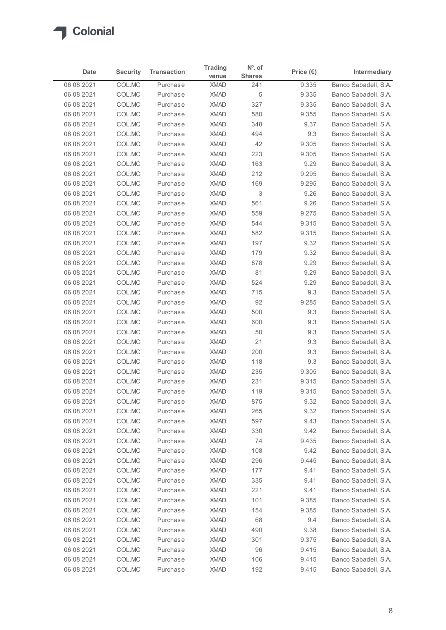

|                          |                  |                      | <b>Trading</b>             | $No$ . of     |                    |                                              |
|--------------------------|------------------|----------------------|----------------------------|---------------|--------------------|----------------------------------------------|
| Date                     | <b>Security</b>  | <b>Transaction</b>   | venue                      | <b>Shares</b> | Price $(\epsilon)$ | Intermediary                                 |
| 06 08 2021               | COL.MC           | Purchase             | <b>XMAD</b>                | 241           | 9.335              | Banco Sabadell, S.A.                         |
| 06 08 2021               | COL.MC           | Purchase             | <b>XMAD</b>                | 5             | 9.335              | Banco Sabadell, S.A.                         |
| 06 08 2021               | COL.MC           | Purchase             | <b>XMAD</b>                | 327           | 9.335              | Banco Sabadell, S.A.                         |
| 06 08 2021<br>06 08 2021 | COL.MC<br>COL.MC | Purchase<br>Purchase | <b>XMAD</b><br><b>XMAD</b> | 580<br>348    | 9.355<br>9.37      | Banco Sabadell, S.A.<br>Banco Sabadell, S.A. |
| 06 08 2021               | COL.MC           | Purchase             | <b>XMAD</b>                | 494           | 9.3                | Banco Sabadell, S.A.                         |
| 06 08 2021               | COL.MC           | Purchase             | <b>XMAD</b>                | 42            | 9.305              | Banco Sabadell, S.A.                         |
| 06 08 2021               | COL.MC           | Purchase             | <b>XMAD</b>                | 223           | 9.305              | Banco Sabadell, S.A.                         |
| 06 08 2021               | COL.MC           | Purchase             | <b>XMAD</b>                | 163           | 9.29               | Banco Sabadell, S.A.                         |
| 06 08 2021               | COL.MC           | Purchase             | <b>XMAD</b>                | 212           | 9.295              | Banco Sabadell, S.A.                         |
| 06 08 2021               | COL.MC           | Purchase             | <b>XMAD</b>                | 169           | 9.295              | Banco Sabadell, S.A.                         |
| 06 08 2021               | COL.MC           | Purchase             | <b>XMAD</b>                | 3             | 9.26               | Banco Sabadell, S.A.                         |
| 06 08 2021               | COL.MC           | Purchase             | <b>XMAD</b>                | 561           | 9.26               | Banco Sabadell, S.A.<br>Banco Sabadell, S.A. |
| 06 08 2021<br>06 08 2021 | COL.MC<br>COL.MC | Purchase<br>Purchase | <b>XMAD</b><br><b>XMAD</b> | 559<br>544    | 9.275<br>9.315     | Banco Sabadell, S.A.                         |
| 06 08 2021               | COL.MC           | Purchase             | <b>XMAD</b>                | 582           | 9.315              | Banco Sabadell, S.A.                         |
| 06 08 2021               | COL.MC           | Purchase             | <b>XMAD</b>                | 197           | 9.32               | Banco Sabadell, S.A.                         |
| 06 08 2021               | COL.MC           | Purchase             | <b>XMAD</b>                | 179           | 9.32               | Banco Sabadell, S.A.                         |
| 06 08 2021               | COL.MC           | Purchase             | <b>XMAD</b>                | 878           | 9.29               | Banco Sabadell, S.A.                         |
| 06 08 2021               | COL.MC           | Purchase             | <b>XMAD</b>                | 81            | 9.29               | Banco Sabadell, S.A.                         |
| 06 08 2021               | COL.MC           | Purchase             | <b>XMAD</b>                | 524           | 9.29               | Banco Sabadell, S.A.                         |
| 06 08 2021               | COL.MC           | Purchase             | <b>XMAD</b>                | 715           | 9.3                | Banco Sabadell, S.A.                         |
| 06 08 2021               | COL.MC           | Purchase             | <b>XMAD</b>                | 92            | 9.285              | Banco Sabadell, S.A.                         |
| 06 08 2021<br>06 08 2021 | COL.MC<br>COL.MC | Purchase<br>Purchase | <b>XMAD</b><br><b>XMAD</b> | 500<br>600    | 9.3<br>9.3         | Banco Sabadell, S.A.<br>Banco Sabadell, S.A. |
| 06 08 2021               | COL.MC           | Purchase             | <b>XMAD</b>                | 50            | 9.3                | Banco Sabadell, S.A.                         |
| 06 08 2021               | COL.MC           | Purchase             | <b>XMAD</b>                | 21            | 9.3                | Banco Sabadell, S.A.                         |
| 06 08 2021               | COL.MC           | Purchase             | XMAD                       | 200           | 9.3                | Banco Sabadell, S.A.                         |
| 06 08 2021               | COL.MC           | Purchase             | <b>XMAD</b>                | 118           | 9.3                | Banco Sabadell, S.A.                         |
| 06 08 2021               | COL.MC           | Purchase             | <b>XMAD</b>                | 235           | 9.305              | Banco Sabadell, S.A.                         |
| 06 08 2021               | COL.MC           | Purchase             | <b>XMAD</b>                | 231           | 9.315              | Banco Sabadell, S.A.                         |
| 06 08 2021               | COL.MC           | Purchase             | <b>XMAD</b>                | 119           | 9.315              | Banco Sabadell, S.A.                         |
| 06 08 2021               | COL.MC           | Purchase             | <b>XMAD</b>                | 875           | 9.32               | Banco Sabadell, S.A.                         |
| 06 08 2021               | COL.MC           | Purchase             | <b>XMAD</b>                | 265           | 9.32               | Banco Sabadell, S.A.                         |
| 06 08 2021<br>06 08 2021 | COL.MC<br>COL.MC | Purchase<br>Purchase | <b>XMAD</b><br><b>XMAD</b> | 597<br>330    | 9.43<br>9.42       | Banco Sabadell, S.A.<br>Banco Sabadell, S.A. |
| 06 08 2021               | COL.MC           | Purchase             | <b>XMAD</b>                | 74            | 9.435              | Banco Sabadell, S.A.                         |
| 06 08 2021               | COL.MC           | Purchase             | <b>XMAD</b>                | 108           | 9.42               | Banco Sabadell, S.A.                         |
| 06 08 2021               | COL.MC           | Purchase             | <b>XMAD</b>                | 296           | 9.445              | Banco Sabadell, S.A.                         |
| 06 08 2021               | COL.MC           | Purchase             | <b>XMAD</b>                | 177           | 9.41               | Banco Sabadell, S.A.                         |
| 06 08 2021               | COL.MC           | Purchase             | <b>XMAD</b>                | 335           | 9.41               | Banco Sabadell, S.A.                         |
| 06 08 2021               | COL.MC           | Purchase             | <b>XMAD</b>                | 221           | 9.41               | Banco Sabadell, S.A.                         |
| 06 08 2021               | COL.MC           | Purchase             | <b>XMAD</b>                | 101           | 9.385              | Banco Sabadell, S.A.                         |
| 06 08 2021               | COL.MC           | Purchase             | <b>XMAD</b>                | 154           | 9.385              | Banco Sabadell, S.A.                         |
| 06 08 2021               | COL.MC           | Purchase             | <b>XMAD</b>                | 68            | 9.4                | Banco Sabadell, S.A.                         |
| 06 08 2021               | COL.MC           | Purchase             | <b>XMAD</b>                | 490           | 9.38               | Banco Sabadell, S.A.                         |
| 06 08 2021<br>06 08 2021 | COL.MC<br>COL.MC | Purchase<br>Purchase | <b>XMAD</b><br>XMAD        | 301<br>96     | 9.375<br>9.415     | Banco Sabadell, S.A.<br>Banco Sabadell, S.A. |
| 06 08 2021               | COL.MC           | Purchase             | XMAD                       | 106           | 9.415              | Banco Sabadell, S.A.                         |
| 06 08 2021               | COLMC            | Purchase             | <b>XMAD</b>                | 192           | 9.415              | Banco Sabadell, S.A.                         |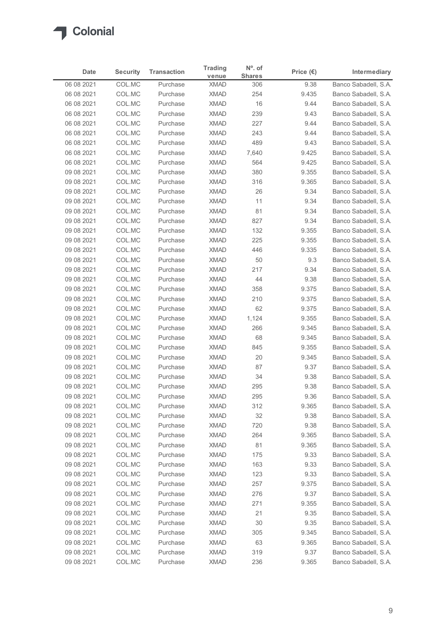

| Date                     | <b>Security</b>  | <b>Transaction</b>   | <b>Trading</b>             | $No$ . of            | Price $(\epsilon)$ | Intermediary                                 |
|--------------------------|------------------|----------------------|----------------------------|----------------------|--------------------|----------------------------------------------|
| 06 08 2021               | COL.MC           | Purchase             | venue<br><b>XMAD</b>       | <b>Shares</b><br>306 | 9.38               | Banco Sabadell, S.A.                         |
| 06 08 2021               | COL.MC           | Purchase             | <b>XMAD</b>                | 254                  | 9.435              | Banco Sabadell, S.A.                         |
| 06 08 2021               | COL.MC           | Purchase             | <b>XMAD</b>                | 16                   | 9.44               | Banco Sabadell, S.A.                         |
| 06 08 2021               | COL.MC           | Purchase             | <b>XMAD</b>                | 239                  | 9.43               | Banco Sabadell, S.A.                         |
| 06 08 2021               | COL.MC           | Purchase             | <b>XMAD</b>                | 227                  | 9.44               | Banco Sabadell, S.A.                         |
| 06 08 2021               | COL.MC           | Purchase             | <b>XMAD</b>                | 243                  | 9.44               | Banco Sabadell, S.A.                         |
| 06 08 2021               | COL.MC           | Purchase             | <b>XMAD</b>                | 489                  | 9.43               | Banco Sabadell, S.A.                         |
| 06 08 2021<br>06 08 2021 | COL.MC<br>COL.MC | Purchase<br>Purchase | <b>XMAD</b><br><b>XMAD</b> | 7,640<br>564         | 9.425<br>9.425     | Banco Sabadell, S.A.<br>Banco Sabadell, S.A. |
| 09 08 2021               | COL.MC           | Purchase             | <b>XMAD</b>                | 380                  | 9.355              | Banco Sabadell, S.A.                         |
| 09 08 2021               | COL.MC           | Purchase             | <b>XMAD</b>                | 316                  | 9.365              | Banco Sabadell, S.A.                         |
| 09 08 2021               | COL.MC           | Purchase             | <b>XMAD</b>                | 26                   | 9.34               | Banco Sabadell, S.A.                         |
| 09 08 2021               | COL.MC           | Purchase             | <b>XMAD</b>                | 11                   | 9.34               | Banco Sabadell, S.A.                         |
| 09 08 2021               | COL.MC           | Purchase             | XMAD                       | 81                   | 9.34               | Banco Sabadell, S.A.                         |
| 09 08 2021               | COL.MC           | Purchase             | <b>XMAD</b>                | 827                  | 9.34               | Banco Sabadell, S.A.                         |
| 09 08 2021               | COL.MC           | Purchase             | <b>XMAD</b>                | 132                  | 9.355              | Banco Sabadell, S.A.                         |
| 09 08 2021<br>09 08 2021 | COL.MC<br>COL.MC | Purchase<br>Purchase | XMAD<br><b>XMAD</b>        | 225<br>446           | 9.355<br>9.335     | Banco Sabadell, S.A.<br>Banco Sabadell, S.A. |
| 09 08 2021               | COL.MC           | Purchase             | <b>XMAD</b>                | 50                   | 9.3                | Banco Sabadell, S.A.                         |
| 09 08 2021               | COL.MC           | Purchase             | <b>XMAD</b>                | 217                  | 9.34               | Banco Sabadell, S.A.                         |
| 09 08 2021               | COL.MC           | Purchase             | <b>XMAD</b>                | 44                   | 9.38               | Banco Sabadell, S.A.                         |
| 09 08 2021               | COL.MC           | Purchase             | <b>XMAD</b>                | 358                  | 9.375              | Banco Sabadell, S.A.                         |
| 09 08 2021               | COL.MC           | Purchase             | <b>XMAD</b>                | 210                  | 9.375              | Banco Sabadell, S.A.                         |
| 09 08 2021               | COL.MC           | Purchase             | <b>XMAD</b>                | 62                   | 9.375              | Banco Sabadell, S.A.                         |
| 09 08 2021               | COL.MC           | Purchase             | <b>XMAD</b>                | 1,124                | 9.355              | Banco Sabadell, S.A.                         |
| 09 08 2021               | COL.MC           | Purchase             | <b>XMAD</b>                | 266                  | 9.345              | Banco Sabadell, S.A.                         |
| 09 08 2021               | COL.MC           | Purchase             | XMAD                       | 68                   | 9.345              | Banco Sabadell, S.A.                         |
| 09 08 2021<br>09 08 2021 | COL.MC<br>COL.MC | Purchase<br>Purchase | XMAD<br><b>XMAD</b>        | 845<br>20            | 9.355<br>9.345     | Banco Sabadell, S.A.<br>Banco Sabadell, S.A. |
| 09 08 2021               | COL.MC           | Purchase             | <b>XMAD</b>                | 87                   | 9.37               | Banco Sabadell, S.A.                         |
| 09 08 2021               | COL.MC           | Purchase             | <b>XMAD</b>                | 34                   | 9.38               | Banco Sabadell, S.A.                         |
| 09 08 2021               | COL.MC           | Purchase             | <b>XMAD</b>                | 295                  | 9.38               | Banco Sabadell, S.A.                         |
| 09 08 2021               | COL.MC           | Purchase             | <b>XMAD</b>                | 295                  | 9.36               | Banco Sabadell, S.A.                         |
| 09 08 2021               | COL.MC           | Purchase             | <b>XMAD</b>                | 312                  | 9.365              | Banco Sabadell, S.A.                         |
| 09 08 2021               | COL.MC           | Purchase             | XMAD                       | 32                   | 9.38               | Banco Sabadell, S.A.                         |
| 09 08 2021               | COL.MC           | Purchase             | <b>XMAD</b>                | 720                  | 9.38               | Banco Sabadell, S.A.                         |
| 09 08 2021               | COL.MC           | Purchase             | <b>XMAD</b>                | 264                  | 9.365              | Banco Sabadell, S.A.                         |
| 09 08 2021<br>09 08 2021 | COL.MC<br>COL.MC | Purchase<br>Purchase | <b>XMAD</b><br><b>XMAD</b> | 81<br>175            | 9.365<br>9.33      | Banco Sabadell, S.A.<br>Banco Sabadell, S.A. |
| 09 08 2021               | COL.MC           | Purchase             | <b>XMAD</b>                | 163                  | 9.33               | Banco Sabadell, S.A.                         |
| 09 08 2021               | COL.MC           | Purchase             | <b>XMAD</b>                | 123                  | 9.33               | Banco Sabadell, S.A.                         |
| 09 08 2021               | COL.MC           | Purchase             | <b>XMAD</b>                | 257                  | 9.375              | Banco Sabadell, S.A.                         |
| 09 08 2021               | COL.MC           | Purchase             | <b>XMAD</b>                | 276                  | 9.37               | Banco Sabadell, S.A.                         |
| 09 08 2021               | COL.MC           | Purchase             | <b>XMAD</b>                | 271                  | 9.355              | Banco Sabadell, S.A.                         |
| 09 08 2021               | COL.MC           | Purchase             | <b>XMAD</b>                | 21                   | 9.35               | Banco Sabadell, S.A.                         |
| 09 08 2021               | COL.MC           | Purchase             | <b>XMAD</b>                | 30                   | 9.35               | Banco Sabadell, S.A.                         |
| 09 08 2021               | COL.MC           | Purchase             | <b>XMAD</b>                | 305                  | 9.345              | Banco Sabadell, S.A.                         |
| 09 08 2021               | COL.MC<br>COL.MC | Purchase             | <b>XMAD</b>                | 63                   | 9.365              | Banco Sabadell, S.A.<br>Banco Sabadell, S.A. |
| 09 08 2021               |                  | Purchase             | <b>XMAD</b>                | 319                  | 9.37               |                                              |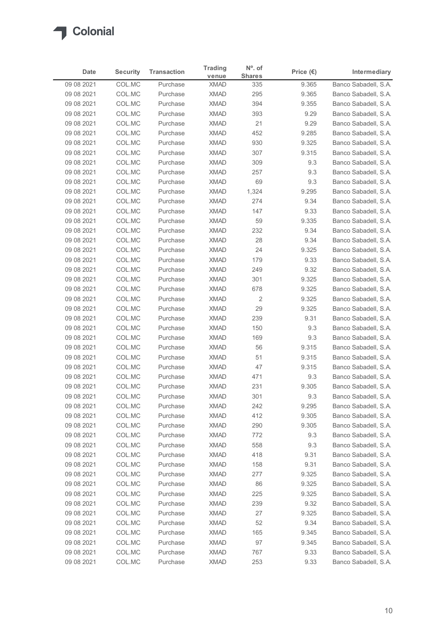

|                          |                  |                      | <b>Trading</b>             | $N^{\circ}$ . of |                    |                                              |
|--------------------------|------------------|----------------------|----------------------------|------------------|--------------------|----------------------------------------------|
| Date                     | <b>Security</b>  | <b>Transaction</b>   | venue                      | <b>Shares</b>    | Price $(\epsilon)$ | Intermediary                                 |
| 09 08 2021<br>09 08 2021 | COL.MC<br>COL.MC | Purchase<br>Purchase | <b>XMAD</b><br><b>XMAD</b> | 335<br>295       | 9.365<br>9.365     | Banco Sabadell, S.A.<br>Banco Sabadell, S.A. |
| 09 08 2021               | COL.MC           | Purchase             | <b>XMAD</b>                | 394              | 9.355              | Banco Sabadell, S.A.                         |
| 09 08 2021               | COL.MC           | Purchase             | <b>XMAD</b>                | 393              | 9.29               | Banco Sabadell, S.A.                         |
| 09 08 2021               | COL.MC           | Purchase             | <b>XMAD</b>                | 21               | 9.29               | Banco Sabadell, S.A.                         |
| 09 08 2021               | COL.MC           | Purchase             | <b>XMAD</b>                | 452              | 9.285              | Banco Sabadell, S.A.                         |
| 09 08 2021               | COL.MC           | Purchase             | <b>XMAD</b>                | 930              | 9.325              | Banco Sabadell, S.A.                         |
| 09 08 2021<br>09 08 2021 | COL.MC<br>COL.MC | Purchase<br>Purchase | <b>XMAD</b><br><b>XMAD</b> | 307<br>309       | 9.315<br>9.3       | Banco Sabadell, S.A.<br>Banco Sabadell, S.A. |
| 09 08 2021               | COL.MC           | Purchase             | <b>XMAD</b>                | 257              | 9.3                | Banco Sabadell, S.A.                         |
| 09 08 2021               | COL.MC           | Purchase             | <b>XMAD</b>                | 69               | 9.3                | Banco Sabadell, S.A.                         |
| 09 08 2021               | COL.MC           | Purchase             | <b>XMAD</b>                | 1,324            | 9.295              | Banco Sabadell, S.A.                         |
| 09 08 2021               | COL.MC           | Purchase             | <b>XMAD</b>                | 274              | 9.34               | Banco Sabadell, S.A.                         |
| 09 08 2021               | COL.MC           | Purchase             | XMAD                       | 147              | 9.33               | Banco Sabadell, S.A.                         |
| 09 08 2021               | COL.MC           | Purchase             | <b>XMAD</b>                | 59               | 9.335              | Banco Sabadell, S.A.                         |
| 09 08 2021               | COL.MC           | Purchase             | <b>XMAD</b>                | 232              | 9.34               | Banco Sabadell, S.A.                         |
| 09 08 2021               | COL.MC           | Purchase             | <b>XMAD</b>                | 28               | 9.34               | Banco Sabadell, S.A.                         |
| 09 08 2021<br>09 08 2021 | COL.MC<br>COL.MC | Purchase<br>Purchase | <b>XMAD</b><br><b>XMAD</b> | 24<br>179        | 9.325<br>9.33      | Banco Sabadell, S.A.<br>Banco Sabadell, S.A. |
| 09 08 2021               | COL.MC           | Purchase             | <b>XMAD</b>                | 249              | 9.32               | Banco Sabadell, S.A.                         |
| 09 08 2021               | COL.MC           | Purchase             | <b>XMAD</b>                | 301              | 9.325              | Banco Sabadell, S.A.                         |
| 09 08 2021               | COL.MC           | Purchase             | XMAD                       | 678              | 9.325              | Banco Sabadell, S.A.                         |
| 09 08 2021               | COL.MC           | Purchase             | <b>XMAD</b>                | 2                | 9.325              | Banco Sabadell, S.A.                         |
| 09 08 2021               | COL.MC           | Purchase             | XMAD                       | 29               | 9.325              | Banco Sabadell, S.A.                         |
| 09 08 2021               | COL.MC           | Purchase             | XMAD                       | 239              | 9.31               | Banco Sabadell, S.A.                         |
| 09 08 2021               | COL.MC           | Purchase             | <b>XMAD</b>                | 150              | 9.3                | Banco Sabadell, S.A.                         |
| 09 08 2021               | COL.MC           | Purchase             | <b>XMAD</b>                | 169              | 9.3                | Banco Sabadell, S.A.                         |
| 09 08 2021<br>09 08 2021 | COL.MC<br>COL.MC | Purchase<br>Purchase | <b>XMAD</b><br><b>XMAD</b> | 56<br>51         | 9.315<br>9.315     | Banco Sabadell, S.A.<br>Banco Sabadell, S.A. |
| 09 08 2021               | COL.MC           | Purchase             | <b>XMAD</b>                | 47               | 9.315              | Banco Sabadell, S.A.                         |
| 09 08 2021               | COL.MC           | Purchase             | <b>XMAD</b>                | 471              | 9.3                | Banco Sabadell, S.A.                         |
| 09 08 2021               | COL.MC           | Purchase             | <b>XMAD</b>                | 231              | 9.305              | Banco Sabadell, S.A.                         |
| 09 08 2021               | COL.MC           | Purchase             | <b>XMAD</b>                | 301              | 9.3                | Banco Sabadell, S.A.                         |
| 09 08 2021               | COL.MC           | Purchase             | <b>XMAD</b>                | 242              | 9.295              | Banco Sabadell, S.A.                         |
| 09 08 2021               | COL.MC           | Purchase             | <b>XMAD</b>                | 412              | 9.305              | Banco Sabadell, S.A.                         |
| 09 08 2021               | COL.MC           | Purchase             | XMAD                       | 290              | 9.305              | Banco Sabadell, S.A.                         |
| 09 08 2021               | COL.MC           | Purchase             | <b>XMAD</b>                | 772              | 9.3                | Banco Sabadell, S.A.                         |
| 09 08 2021<br>09 08 2021 | COL.MC<br>COL.MC | Purchase<br>Purchase | <b>XMAD</b><br><b>XMAD</b> | 558<br>418       | 9.3<br>9.31        | Banco Sabadell, S.A.<br>Banco Sabadell, S.A. |
| 09 08 2021               | COL.MC           | Purchase             | <b>XMAD</b>                | 158              | 9.31               | Banco Sabadell, S.A.                         |
| 09 08 2021               | COL.MC           | Purchase             | <b>XMAD</b>                | 277              | 9.325              | Banco Sabadell, S.A.                         |
| 09 08 2021               | COL.MC           | Purchase             | <b>XMAD</b>                | 86               | 9.325              | Banco Sabadell, S.A.                         |
| 09 08 2021               | COL.MC           | Purchase             | <b>XMAD</b>                | 225              | 9.325              | Banco Sabadell, S.A.                         |
| 09 08 2021               | COL.MC           | Purchase             | <b>XMAD</b>                | 239              | 9.32               | Banco Sabadell, S.A.                         |
| 09 08 2021               | COL.MC           | Purchase             | <b>XMAD</b>                | 27               | 9.325              | Banco Sabadell, S.A.                         |
| 09 08 2021               | COL.MC           | Purchase             | <b>XMAD</b>                | 52               | 9.34               | Banco Sabadell, S.A.                         |
| 09 08 2021               | COL.MC           | Purchase             | <b>XMAD</b>                | 165              | 9.345              | Banco Sabadell, S.A.                         |
| 09 08 2021               | COL.MC<br>COL.MC | Purchase<br>Purchase | <b>XMAD</b><br><b>XMAD</b> | 97<br>767        | 9.345<br>9.33      | Banco Sabadell, S.A.<br>Banco Sabadell, S.A. |
| 09 08 2021               |                  |                      |                            |                  |                    |                                              |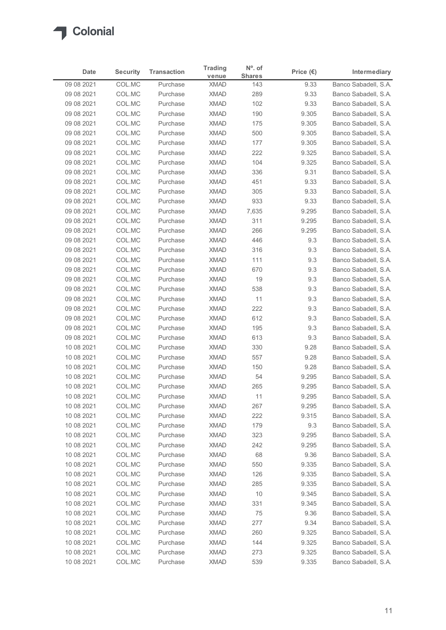

| Date                     | <b>Security</b>  | <b>Transaction</b>   | <b>Trading</b>             | $N^{\circ}$ . of     | Price $(\epsilon)$ | Intermediary                                 |
|--------------------------|------------------|----------------------|----------------------------|----------------------|--------------------|----------------------------------------------|
| 09 08 2021               | COL.MC           | Purchase             | venue<br><b>XMAD</b>       | <b>Shares</b><br>143 | 9.33               | Banco Sabadell, S.A.                         |
| 09 08 2021               | COL.MC           | Purchase             | <b>XMAD</b>                | 289                  | 9.33               | Banco Sabadell, S.A.                         |
| 09 08 2021               | COL.MC           | Purchase             | <b>XMAD</b>                | 102                  | 9.33               | Banco Sabadell, S.A.                         |
| 09 08 2021               | COL.MC           | Purchase             | <b>XMAD</b>                | 190                  | 9.305              | Banco Sabadell, S.A.                         |
| 09 08 2021               | COL.MC           | Purchase             | <b>XMAD</b>                | 175                  | 9.305              | Banco Sabadell, S.A.                         |
| 09 08 2021               | COL.MC           | Purchase             | <b>XMAD</b>                | 500                  | 9.305              | Banco Sabadell, S.A.                         |
| 09 08 2021               | COL.MC           | Purchase             | <b>XMAD</b>                | 177                  | 9.305              | Banco Sabadell, S.A.                         |
| 09 08 2021<br>09 08 2021 | COL.MC<br>COL.MC | Purchase<br>Purchase | <b>XMAD</b><br><b>XMAD</b> | 222<br>104           | 9.325<br>9.325     | Banco Sabadell, S.A.<br>Banco Sabadell, S.A. |
| 09 08 2021               | COL.MC           | Purchase             | <b>XMAD</b>                | 336                  | 9.31               | Banco Sabadell, S.A.                         |
| 09 08 2021               | COL.MC           | Purchase             | <b>XMAD</b>                | 451                  | 9.33               | Banco Sabadell, S.A.                         |
| 09 08 2021               | COL.MC           | Purchase             | <b>XMAD</b>                | 305                  | 9.33               | Banco Sabadell, S.A.                         |
| 09 08 2021               | COL.MC           | Purchase             | <b>XMAD</b>                | 933                  | 9.33               | Banco Sabadell, S.A.                         |
| 09 08 2021               | COL.MC           | Purchase             | XMAD                       | 7,635                | 9.295              | Banco Sabadell, S.A.                         |
| 09 08 2021               | COL.MC           | Purchase             | <b>XMAD</b>                | 311                  | 9.295              | Banco Sabadell, S.A.                         |
| 09 08 2021               | COL.MC           | Purchase             | <b>XMAD</b>                | 266                  | 9.295              | Banco Sabadell, S.A.                         |
| 09 08 2021<br>09 08 2021 | COL.MC           | Purchase             | <b>XMAD</b>                | 446                  | 9.3                | Banco Sabadell, S.A.<br>Banco Sabadell, S.A. |
| 09 08 2021               | COL.MC<br>COL.MC | Purchase<br>Purchase | XMAD<br><b>XMAD</b>        | 316<br>111           | 9.3<br>9.3         | Banco Sabadell, S.A.                         |
| 09 08 2021               | COL.MC           | Purchase             | <b>XMAD</b>                | 670                  | 9.3                | Banco Sabadell, S.A.                         |
| 09 08 2021               | COL.MC           | Purchase             | <b>XMAD</b>                | 19                   | 9.3                | Banco Sabadell, S.A.                         |
| 09 08 2021               | COL.MC           | Purchase             | XMAD                       | 538                  | 9.3                | Banco Sabadell, S.A.                         |
| 09 08 2021               | COL.MC           | Purchase             | <b>XMAD</b>                | 11                   | 9.3                | Banco Sabadell, S.A.                         |
| 09 08 2021               | COL.MC           | Purchase             | XMAD                       | 222                  | 9.3                | Banco Sabadell, S.A.                         |
| 09 08 2021               | COL.MC           | Purchase             | <b>XMAD</b>                | 612                  | 9.3                | Banco Sabadell, S.A.                         |
| 09 08 2021               | COL.MC           | Purchase             | <b>XMAD</b>                | 195                  | 9.3                | Banco Sabadell, S.A.                         |
| 09 08 2021               | COL.MC           | Purchase<br>Purchase | <b>XMAD</b><br><b>XMAD</b> | 613<br>330           | 9.3                | Banco Sabadell, S.A.<br>Banco Sabadell, S.A. |
| 10 08 2021<br>10 08 2021 | COL.MC<br>COL.MC | Purchase             | <b>XMAD</b>                | 557                  | 9.28<br>9.28       | Banco Sabadell, S.A.                         |
| 10 08 2021               | COL.MC           | Purchase             | <b>XMAD</b>                | 150                  | 9.28               | Banco Sabadell, S.A.                         |
| 10 08 2021               | COL.MC           | Purchase             | <b>XMAD</b>                | 54                   | 9.295              | Banco Sabadell, S.A.                         |
| 10 08 2021               | COL.MC           | Purchase             | <b>XMAD</b>                | 265                  | 9.295              | Banco Sabadell, S.A.                         |
| 10 08 2021               | COL.MC           | Purchase             | <b>XMAD</b>                | 11                   | 9.295              | Banco Sabadell, S.A.                         |
| 10 08 2021               | COL.MC           | Purchase             | <b>XMAD</b>                | 267                  | 9.295              | Banco Sabadell, S.A.                         |
| 10 08 2021               | COL.MC           | Purchase             | <b>XMAD</b>                | 222                  | 9.315              | Banco Sabadell, S.A.                         |
| 10 08 2021               | COL.MC           | Purchase             | <b>XMAD</b>                | 179                  | 9.3                | Banco Sabadell, S.A.                         |
| 10 08 2021               | COL.MC           | Purchase             | <b>XMAD</b>                | 323                  | 9.295              | Banco Sabadell, S.A.                         |
| 10 08 2021<br>10 08 2021 | COL.MC<br>COL.MC | Purchase<br>Purchase | <b>XMAD</b><br><b>XMAD</b> | 242<br>68            | 9.295<br>9.36      | Banco Sabadell, S.A.<br>Banco Sabadell, S.A. |
| 10 08 2021               | COL.MC           | Purchase             | XMAD                       | 550                  | 9.335              | Banco Sabadell, S.A.                         |
| 10 08 2021               | COL.MC           | Purchase             | <b>XMAD</b>                | 126                  | 9.335              | Banco Sabadell, S.A.                         |
| 10 08 2021               | COL.MC           | Purchase             | <b>XMAD</b>                | 285                  | 9.335              | Banco Sabadell, S.A.                         |
| 10 08 2021               | COL.MC           | Purchase             | <b>XMAD</b>                | 10                   | 9.345              | Banco Sabadell, S.A.                         |
| 10 08 2021               | COL.MC           | Purchase             | <b>XMAD</b>                | 331                  | 9.345              | Banco Sabadell, S.A.                         |
| 10 08 2021               | COL.MC           | Purchase             | <b>XMAD</b>                | 75                   | 9.36               | Banco Sabadell, S.A.                         |
| 10 08 2021               | COL.MC           | Purchase             | <b>XMAD</b>                | 277                  | 9.34               | Banco Sabadell, S.A.                         |
| 10 08 2021               | COL.MC           | Purchase             | <b>XMAD</b>                | 260                  | 9.325              | Banco Sabadell, S.A.                         |
| 10 08 2021<br>10 08 2021 | COL.MC           | Purchase<br>Purchase | <b>XMAD</b>                | 144                  | 9.325              | Banco Sabadell, S.A.                         |
|                          | COL.MC           | Purchase             | <b>XMAD</b>                | 273<br>539           | 9.325              | Banco Sabadell, S.A.<br>Banco Sabadell, S.A. |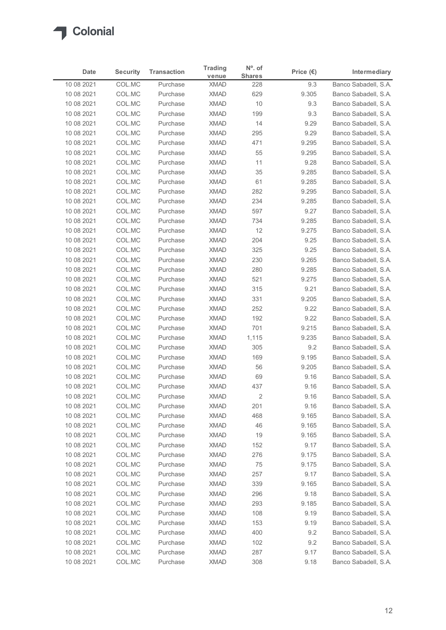

|                          |                  |                      | <b>Trading</b>             | N°. of                |                    |                                              |
|--------------------------|------------------|----------------------|----------------------------|-----------------------|--------------------|----------------------------------------------|
| <b>Date</b>              | <b>Security</b>  | <b>Transaction</b>   | venue                      | <b>Shares</b>         | Price $(\epsilon)$ | Intermediary                                 |
| 10 08 2021               | COL.MC           | Purchase             | <b>XMAD</b>                | 228                   | 9.3                | Banco Sabadell, S.A.                         |
| 10 08 2021<br>10 08 2021 | COL.MC<br>COL.MC | Purchase<br>Purchase | <b>XMAD</b><br><b>XMAD</b> | 629<br>10             | 9.305<br>9.3       | Banco Sabadell, S.A.<br>Banco Sabadell, S.A. |
| 10 08 2021               | COL.MC           | Purchase             | <b>XMAD</b>                | 199                   | 9.3                | Banco Sabadell, S.A.                         |
| 10 08 2021               | COL.MC           | Purchase             | <b>XMAD</b>                | 14                    | 9.29               | Banco Sabadell, S.A.                         |
| 10 08 2021               | COL.MC           | Purchase             | <b>XMAD</b>                | 295                   | 9.29               | Banco Sabadell, S.A.                         |
| 10 08 2021               | COL.MC           | Purchase             | <b>XMAD</b>                | 471                   | 9.295              | Banco Sabadell, S.A.                         |
| 10 08 2021               | COL.MC           | Purchase             | <b>XMAD</b>                | 55                    | 9.295              | Banco Sabadell, S.A.                         |
| 10 08 2021               | COL.MC           | Purchase             | <b>XMAD</b>                | 11                    | 9.28               | Banco Sabadell, S.A.                         |
| 10 08 2021               | COL.MC           | Purchase             | <b>XMAD</b>                | 35                    | 9.285              | Banco Sabadell, S.A.                         |
| 10 08 2021<br>10 08 2021 | COL.MC<br>COL.MC | Purchase<br>Purchase | <b>XMAD</b><br><b>XMAD</b> | 61<br>282             | 9.285<br>9.295     | Banco Sabadell, S.A.<br>Banco Sabadell, S.A. |
| 10 08 2021               | COL.MC           | Purchase             | <b>XMAD</b>                | 234                   | 9.285              | Banco Sabadell, S.A.                         |
| 10 08 2021               | COL.MC           | Purchase             | XMAD                       | 597                   | 9.27               | Banco Sabadell, S.A.                         |
| 10 08 2021               | COL.MC           | Purchase             | XMAD                       | 734                   | 9.285              | Banco Sabadell, S.A.                         |
| 10 08 2021               | COL.MC           | Purchase             | XMAD                       | 12                    | 9.275              | Banco Sabadell, S.A.                         |
| 10 08 2021               | COL.MC           | Purchase             | XMAD                       | 204                   | 9.25               | Banco Sabadell, S.A.                         |
| 10 08 2021               | COL.MC           | Purchase             | <b>XMAD</b>                | 325                   | 9.25               | Banco Sabadell, S.A.                         |
| 10 08 2021               | COL.MC           | Purchase             | <b>XMAD</b>                | 230                   | 9.265              | Banco Sabadell, S.A.                         |
| 10 08 2021               | COL.MC           | Purchase             | <b>XMAD</b>                | 280                   | 9.285              | Banco Sabadell, S.A.                         |
| 10 08 2021               | COL.MC<br>COL.MC | Purchase<br>Purchase | XMAD<br>XMAD               | 521<br>315            | 9.275<br>9.21      | Banco Sabadell, S.A.<br>Banco Sabadell, S.A. |
| 10 08 2021<br>10 08 2021 | COL.MC           | Purchase             | XMAD                       | 331                   | 9.205              | Banco Sabadell, S.A.                         |
| 10 08 2021               | COL.MC           | Purchase             | XMAD                       | 252                   | 9.22               | Banco Sabadell, S.A.                         |
| 10 08 2021               | COL.MC           | Purchase             | <b>XMAD</b>                | 192                   | 9.22               | Banco Sabadell, S.A.                         |
| 10 08 2021               | COL.MC           | Purchase             | <b>XMAD</b>                | 701                   | 9.215              | Banco Sabadell, S.A.                         |
| 10 08 2021               | COL.MC           | Purchase             | <b>XMAD</b>                | 1,115                 | 9.235              | Banco Sabadell, S.A.                         |
| 10 08 2021               | COL.MC           | Purchase             | XMAD                       | 305                   | 9.2                | Banco Sabadell, S.A.                         |
| 10 08 2021               | COL.MC           | Purchase             | <b>XMAD</b>                | 169                   | 9.195              | Banco Sabadell, S.A.                         |
| 10 08 2021               | COL.MC           | Purchase             | <b>XMAD</b>                | 56                    | 9.205              | Banco Sabadell, S.A.                         |
| 10 08 2021               | COL.MC           | Purchase             | <b>XMAD</b>                | 69                    | 9.16               | Banco Sabadell, S.A.                         |
| 10 08 2021<br>10 08 2021 | COL.MC<br>COL.MC | Purchase<br>Purchase | <b>XMAD</b><br>XMAD        | 437<br>$\overline{2}$ | 9.16<br>9.16       | Banco Sabadell, S.A.<br>Banco Sabadell, S.A. |
| 10 08 2021               | COL.MC           | Purchase             | XMAD                       | 201                   | 9.16               | Banco Sabadell, S.A.                         |
| 10 08 2021               | COL.MC           | Purchase             | <b>XMAD</b>                | 468                   | 9.165              | Banco Sabadell, S.A.                         |
| 10 08 2021               | COL.MC           | Purchase             | XMAD                       | 46                    | 9.165              | Banco Sabadell, S.A.                         |
| 10 08 2021               | COL.MC           | Purchase             | XMAD                       | 19                    | 9.165              | Banco Sabadell, S.A.                         |
| 10 08 2021               | COL.MC           | Purchase             | <b>XMAD</b>                | 152                   | 9.17               | Banco Sabadell, S.A.                         |
| 10 08 2021               | COL.MC           | Purchase             | XMAD                       | 276                   | 9.175              | Banco Sabadell, S.A.                         |
| 10 08 2021               | COL.MC           | Purchase             | <b>XMAD</b>                | 75                    | 9.175              | Banco Sabadell, S.A.                         |
| 10 08 2021               | COL.MC           | Purchase             | <b>XMAD</b>                | 257                   | 9.17               | Banco Sabadell, S.A.                         |
| 10 08 2021               | COL.MC           | Purchase<br>Purchase | <b>XMAD</b><br><b>XMAD</b> | 339<br>296            | 9.165<br>9.18      | Banco Sabadell, S.A.                         |
| 10 08 2021<br>10 08 2021 | COL.MC<br>COL.MC | Purchase             | XMAD                       | 293                   | 9.185              | Banco Sabadell, S.A.<br>Banco Sabadell, S.A. |
| 10 08 2021               | COL.MC           | Purchase             | XMAD                       | 108                   | 9.19               | Banco Sabadell, S.A.                         |
| 10 08 2021               | COL.MC           | Purchase             | XMAD                       | 153                   | 9.19               | Banco Sabadell, S.A.                         |
| 10 08 2021               | COL.MC           | Purchase             | <b>XMAD</b>                | 400                   | 9.2                | Banco Sabadell, S.A.                         |
| 10 08 2021               | COL.MC           | Purchase             | <b>XMAD</b>                | 102                   | 9.2                | Banco Sabadell, S.A.                         |
|                          | COL.MC           | Purchase             | <b>XMAD</b>                | 287                   | 9.17               | Banco Sabadell, S.A.                         |
| 10 08 2021<br>10 08 2021 | COL.MC           |                      | XMAD                       | 308                   | 9.18               | Banco Sabadell, S.A.                         |